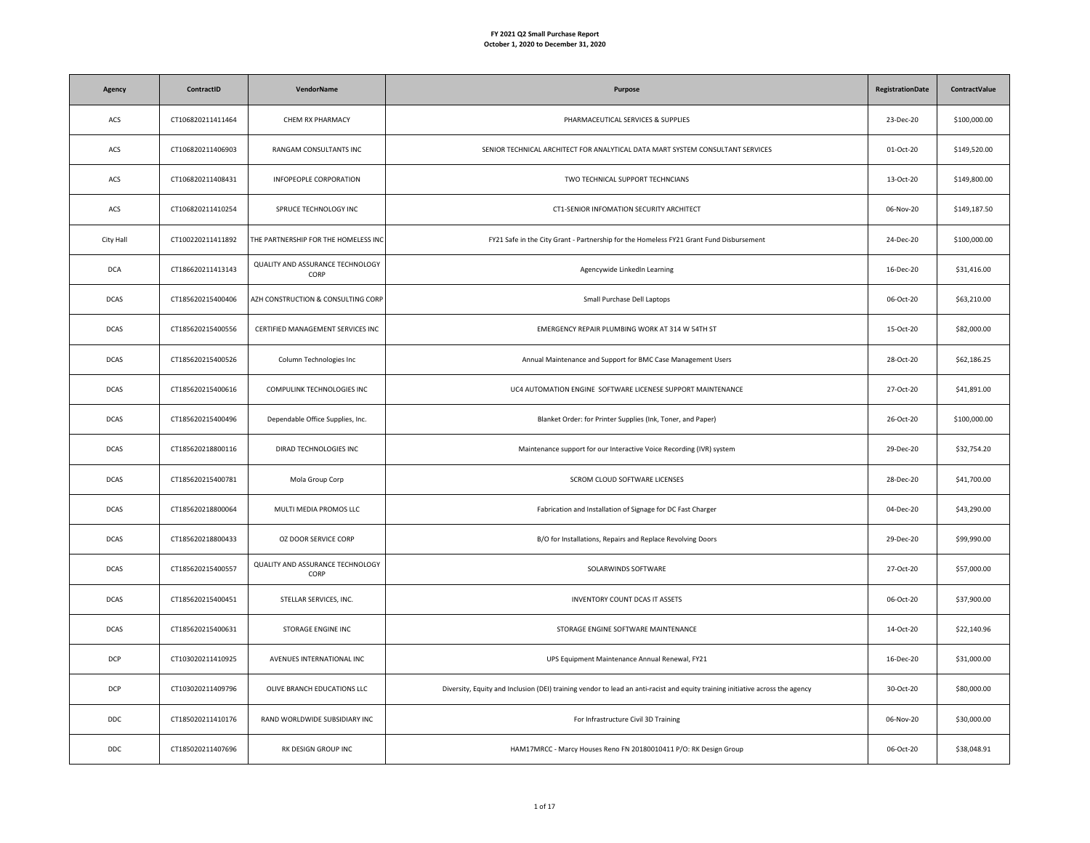| Agency      | ContractID        | VendorName                               | Purpose                                                                                                                       | <b>RegistrationDate</b> | <b>ContractValue</b> |
|-------------|-------------------|------------------------------------------|-------------------------------------------------------------------------------------------------------------------------------|-------------------------|----------------------|
| ACS         | CT106820211411464 | CHEM RX PHARMACY                         | PHARMACEUTICAL SERVICES & SUPPLIES                                                                                            | 23-Dec-20               | \$100,000.00         |
| ACS         | CT106820211406903 | RANGAM CONSULTANTS INC                   | SENIOR TECHNICAL ARCHITECT FOR ANALYTICAL DATA MART SYSTEM CONSULTANT SERVICES                                                | 01-Oct-20               | \$149,520.00         |
| ACS         | CT106820211408431 | INFOPEOPLE CORPORATION                   | TWO TECHNICAL SUPPORT TECHNCIANS                                                                                              | 13-Oct-20               | \$149,800.00         |
| ACS         | CT106820211410254 | SPRUCE TECHNOLOGY INC                    | CT1-SENIOR INFOMATION SECURITY ARCHITECT                                                                                      | 06-Nov-20               | \$149,187.50         |
| City Hall   | CT100220211411892 | THE PARTNERSHIP FOR THE HOMELESS INC     | FY21 Safe in the City Grant - Partnership for the Homeless FY21 Grant Fund Disbursement                                       | 24-Dec-20               | \$100,000.00         |
| <b>DCA</b>  | CT186620211413143 | QUALITY AND ASSURANCE TECHNOLOGY<br>CORP | Agencywide LinkedIn Learning                                                                                                  | 16-Dec-20               | \$31,416.00          |
| <b>DCAS</b> | CT185620215400406 | AZH CONSTRUCTION & CONSULTING CORP       | Small Purchase Dell Laptops                                                                                                   | 06-Oct-20               | \$63,210.00          |
| <b>DCAS</b> | CT185620215400556 | CERTIFIED MANAGEMENT SERVICES INC        | EMERGENCY REPAIR PLUMBING WORK AT 314 W 54TH ST                                                                               | 15-Oct-20               | \$82,000.00          |
| <b>DCAS</b> | CT185620215400526 | Column Technologies Inc                  | Annual Maintenance and Support for BMC Case Management Users                                                                  | 28-Oct-20               | \$62,186.25          |
| <b>DCAS</b> | CT185620215400616 | COMPULINK TECHNOLOGIES INC               | UC4 AUTOMATION ENGINE SOFTWARE LICENESE SUPPORT MAINTENANCE                                                                   | 27-Oct-20               | \$41,891.00          |
| <b>DCAS</b> | CT185620215400496 | Dependable Office Supplies, Inc.         | Blanket Order: for Printer Supplies (Ink, Toner, and Paper)                                                                   | 26-Oct-20               | \$100,000.00         |
| <b>DCAS</b> | CT185620218800116 | DIRAD TECHNOLOGIES INC                   | Maintenance support for our Interactive Voice Recording (IVR) system                                                          | 29-Dec-20               | \$32,754.20          |
| <b>DCAS</b> | CT185620215400781 | Mola Group Corp                          | SCROM CLOUD SOFTWARE LICENSES                                                                                                 | 28-Dec-20               | \$41,700.00          |
| <b>DCAS</b> | CT185620218800064 | MULTI MEDIA PROMOS LLC                   | Fabrication and Installation of Signage for DC Fast Charger                                                                   | 04-Dec-20               | \$43,290.00          |
| <b>DCAS</b> | CT185620218800433 | <b>OZ DOOR SERVICE CORP</b>              | B/O for Installations, Repairs and Replace Revolving Doors                                                                    | 29-Dec-20               | \$99,990.00          |
| <b>DCAS</b> | CT185620215400557 | QUALITY AND ASSURANCE TECHNOLOGY<br>CORP | SOLARWINDS SOFTWARE                                                                                                           | 27-Oct-20               | \$57,000.00          |
| <b>DCAS</b> | CT185620215400451 | STELLAR SERVICES, INC.                   | <b>INVENTORY COUNT DCAS IT ASSETS</b>                                                                                         | 06-Oct-20               | \$37,900.00          |
| <b>DCAS</b> | CT185620215400631 | STORAGE ENGINE INC                       | STORAGE ENGINE SOFTWARE MAINTENANCE                                                                                           | 14-Oct-20               | \$22,140.96          |
| <b>DCP</b>  | CT103020211410925 | AVENUES INTERNATIONAL INC                | UPS Equipment Maintenance Annual Renewal, FY21                                                                                | 16-Dec-20               | \$31,000.00          |
| <b>DCP</b>  | CT103020211409796 | OLIVE BRANCH EDUCATIONS LLC              | Diversity, Equity and Inclusion (DEI) training vendor to lead an anti-racist and equity training initiative across the agency | 30-Oct-20               | \$80,000.00          |
| <b>DDC</b>  | CT185020211410176 | RAND WORLDWIDE SUBSIDIARY INC            | For Infrastructure Civil 3D Training                                                                                          | 06-Nov-20               | \$30,000.00          |
| <b>DDC</b>  | CT185020211407696 | RK DESIGN GROUP INC                      | HAM17MRCC - Marcy Houses Reno FN 20180010411 P/O: RK Design Group                                                             | 06-Oct-20               | \$38,048.91          |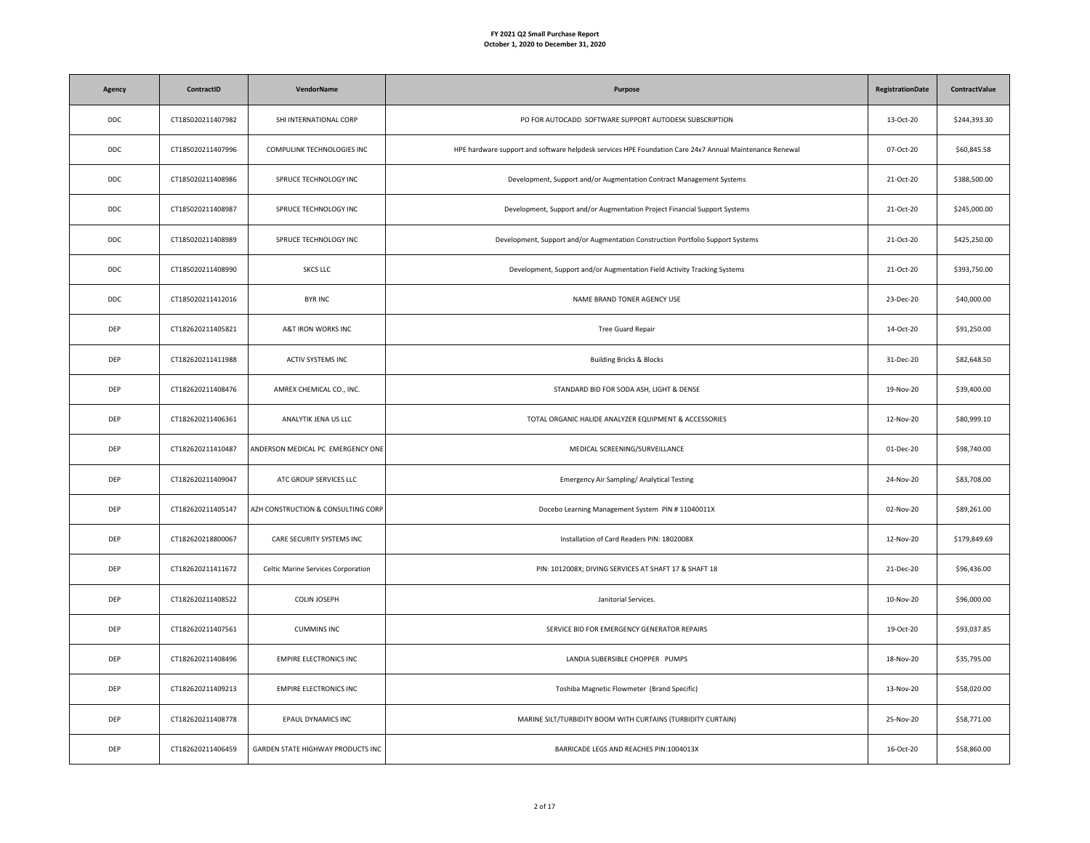| Agency     | ContractID        | <b>VendorName</b>                  | Purpose                                                                                                 | <b>RegistrationDate</b> | <b>ContractValue</b> |
|------------|-------------------|------------------------------------|---------------------------------------------------------------------------------------------------------|-------------------------|----------------------|
| <b>DDC</b> | CT185020211407982 | SHI INTERNATIONAL CORP             | PO FOR AUTOCADD SOFTWARE SUPPORT AUTODESK SUBSCRIPTION                                                  | 13-Oct-20               | \$244,393.30         |
| <b>DDC</b> | CT185020211407996 | COMPULINK TECHNOLOGIES INC         | HPE hardware support and software helpdesk services HPE Foundation Care 24x7 Annual Maintenance Renewal | 07-Oct-20               | \$60,845.58          |
| <b>DDC</b> | CT185020211408986 | SPRUCE TECHNOLOGY INC              | Development, Support and/or Augmentation Contract Management Systems                                    | 21-Oct-20               | \$388,500.00         |
| <b>DDC</b> | CT185020211408987 | SPRUCE TECHNOLOGY INC              | Development, Support and/or Augmentation Project Financial Support Systems                              | 21-Oct-20               | \$245,000.00         |
| <b>DDC</b> | CT185020211408989 | SPRUCE TECHNOLOGY INC              | Development, Support and/or Augmentation Construction Portfolio Support Systems                         | 21-Oct-20               | \$425,250.00         |
| <b>DDC</b> | CT185020211408990 | <b>SKCS LLC</b>                    | Development, Support and/or Augmentation Field Activity Tracking Systems                                | 21-Oct-20               | \$393,750.00         |
| <b>DDC</b> | CT185020211412016 | <b>BYR INC</b>                     | NAME BRAND TONER AGENCY USE                                                                             | 23-Dec-20               | \$40,000.00          |
| DEP        | CT182620211405821 | A&T IRON WORKS INC                 | Tree Guard Repair                                                                                       | 14-Oct-20               | \$91,250.00          |
| DEP        | CT182620211411988 | ACTIV SYSTEMS INC                  | <b>Building Bricks &amp; Blocks</b>                                                                     | 31-Dec-20               | \$82,648.50          |
| DEP        | CT182620211408476 | AMREX CHEMICAL CO., INC.           | STANDARD BID FOR SODA ASH, LIGHT & DENSE                                                                | 19-Nov-20               | \$39,400.00          |
| DEP        | CT182620211406361 | ANALYTIK JENA US LLC               | TOTAL ORGANIC HALIDE ANALYZER EQUIPMENT & ACCESSORIES                                                   | 12-Nov-20               | \$80,999.10          |
| DEP        | CT182620211410487 | ANDERSON MEDICAL PC EMERGENCY ONE  | MEDICAL SCREENING/SURVEILLANCE                                                                          | 01-Dec-20               | \$98,740.00          |
| DEP        | CT182620211409047 | ATC GROUP SERVICES LLC             | Emergency Air Sampling/ Analytical Testing                                                              | 24-Nov-20               | \$83,708.00          |
| DEP        | CT182620211405147 | AZH CONSTRUCTION & CONSULTING CORP | Docebo Learning Management System PIN #11040011X                                                        | 02-Nov-20               | \$89,261.00          |
| DEP        | CT182620218800067 | CARE SECURITY SYSTEMS INC          | Installation of Card Readers PIN: 1802008X                                                              | 12-Nov-20               | \$179,849.69         |
| DEP        | CT182620211411672 | Celtic Marine Services Corporation | PIN: 1012008X; DIVING SERVICES AT SHAFT 17 & SHAFT 18                                                   | 21-Dec-20               | \$96,436.00          |
| DEP        | CT182620211408522 | <b>COLIN JOSEPH</b>                | Janitorial Services.                                                                                    | 10-Nov-20               | \$96,000.00          |
| DEP        | CT182620211407561 | <b>CUMMINS INC</b>                 | SERVICE BID FOR EMERGENCY GENERATOR REPAIRS                                                             | 19-Oct-20               | \$93,037.85          |
| DEP        | CT182620211408496 | <b>EMPIRE ELECTRONICS INC</b>      | LANDIA SUBERSIBLE CHOPPER PUMPS                                                                         | 18-Nov-20               | \$35,795.00          |
| DEP        | CT182620211409213 | <b>EMPIRE ELECTRONICS INC</b>      | Toshiba Magnetic Flowmeter (Brand Specific)                                                             | 13-Nov-20               | \$58,020.00          |
| DEP        | CT182620211408778 | EPAUL DYNAMICS INC                 | MARINE SILT/TURBIDITY BOOM WITH CURTAINS (TURBIDITY CURTAIN)                                            | 25-Nov-20               | \$58,771.00          |
| DEP        | CT182620211406459 | GARDEN STATE HIGHWAY PRODUCTS INC  | BARRICADE LEGS AND REACHES PIN:1004013X                                                                 | 16-Oct-20               | \$58,860.00          |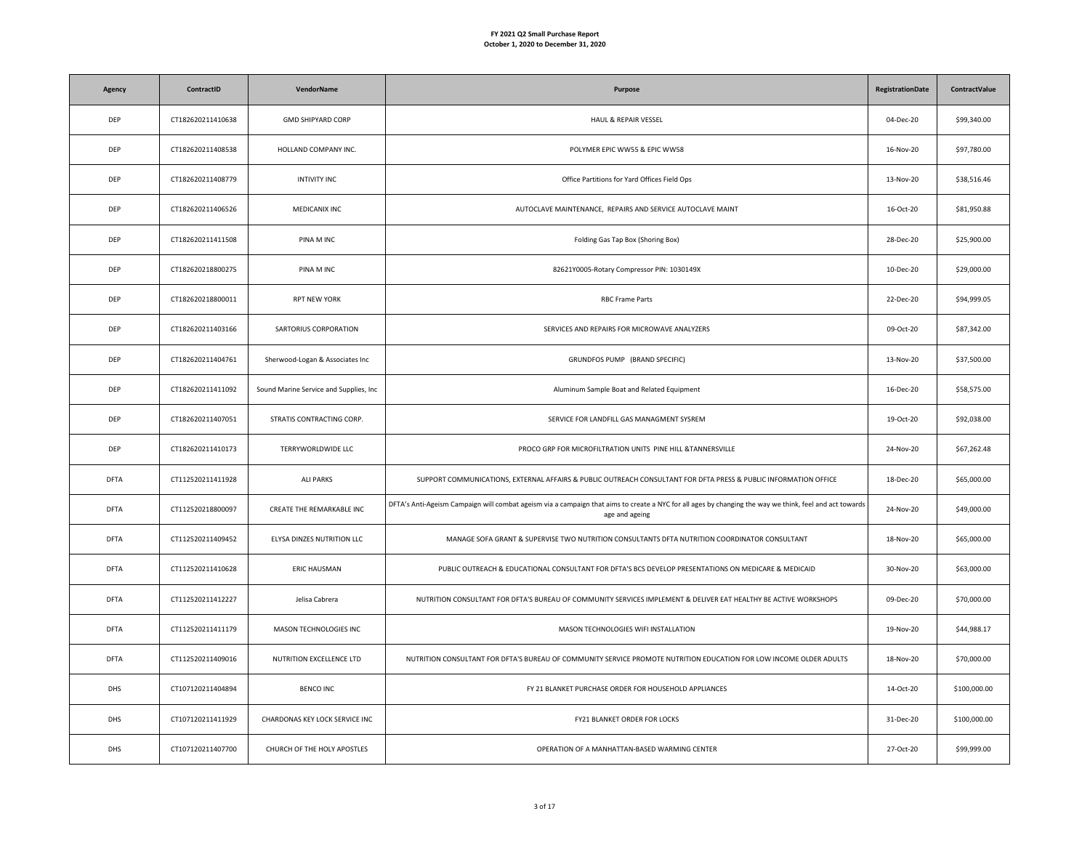| Agency      | ContractID        | VendorName                             | Purpose                                                                                                                                                                   | <b>RegistrationDate</b> | <b>ContractValue</b> |
|-------------|-------------------|----------------------------------------|---------------------------------------------------------------------------------------------------------------------------------------------------------------------------|-------------------------|----------------------|
| <b>DEP</b>  | CT182620211410638 | <b>GMD SHIPYARD CORP</b>               | HAUL & REPAIR VESSEL                                                                                                                                                      | 04-Dec-20               | \$99,340.00          |
| DEP         | CT182620211408538 | HOLLAND COMPANY INC.                   | POLYMER EPIC WW55 & EPIC WW58                                                                                                                                             | 16-Nov-20               | \$97,780.00          |
| <b>DEP</b>  | CT182620211408779 | <b>INTIVITY INC</b>                    | Office Partitions for Yard Offices Field Ops                                                                                                                              | 13-Nov-20               | \$38,516.46          |
| <b>DEP</b>  | CT182620211406526 | MEDICANIX INC                          | AUTOCLAVE MAINTENANCE, REPAIRS AND SERVICE AUTOCLAVE MAINT                                                                                                                | 16-Oct-20               | \$81,950.88          |
| DEP         | CT182620211411508 | PINA M INC                             | Folding Gas Tap Box (Shoring Box)                                                                                                                                         | 28-Dec-20               | \$25,900.00          |
| DEP         | CT182620218800275 | PINA M INC                             | 82621Y0005-Rotary Compressor PIN: 1030149X                                                                                                                                | 10-Dec-20               | \$29,000.00          |
| DEP         | CT182620218800011 | <b>RPT NEW YORK</b>                    | <b>RBC Frame Parts</b>                                                                                                                                                    | 22-Dec-20               | \$94,999.05          |
| DEP         | CT182620211403166 | SARTORIUS CORPORATION                  | SERVICES AND REPAIRS FOR MICROWAVE ANALYZERS                                                                                                                              | 09-Oct-20               | \$87,342.00          |
| DEP         | CT182620211404761 | Sherwood-Logan & Associates Inc        | GRUNDFOS PUMP (BRAND SPECIFIC)                                                                                                                                            | 13-Nov-20               | \$37,500.00          |
| DEP         | CT182620211411092 | Sound Marine Service and Supplies, Inc | Aluminum Sample Boat and Related Equipment                                                                                                                                | 16-Dec-20               | \$58,575.00          |
| <b>DEP</b>  | CT182620211407051 | STRATIS CONTRACTING CORP.              | SERVICE FOR LANDFILL GAS MANAGMENT SYSREM                                                                                                                                 | 19-Oct-20               | \$92,038.00          |
| DEP         | CT182620211410173 | TERRYWORLDWIDE LLC                     | PROCO GRP FOR MICROFILTRATION UNITS PINE HILL &TANNERSVILLE                                                                                                               | 24-Nov-20               | \$67,262.48          |
| <b>DFTA</b> | CT112520211411928 | <b>ALI PARKS</b>                       | SUPPORT COMMUNICATIONS, EXTERNAL AFFAIRS & PUBLIC OUTREACH CONSULTANT FOR DFTA PRESS & PUBLIC INFORMATION OFFICE                                                          | 18-Dec-20               | \$65,000.00          |
| <b>DFTA</b> | CT112520218800097 | CREATE THE REMARKABLE INC              | DFTA's Anti-Ageism Campaign will combat ageism via a campaign that aims to create a NYC for all ages by changing the way we think, feel and act towards<br>age and ageing | 24-Nov-20               | \$49,000.00          |
| <b>DFTA</b> | CT112520211409452 | ELYSA DINZES NUTRITION LLC             | MANAGE SOFA GRANT & SUPERVISE TWO NUTRITION CONSULTANTS DFTA NUTRITION COORDINATOR CONSULTANT                                                                             | 18-Nov-20               | \$65,000.00          |
| <b>DFTA</b> | CT112520211410628 | ERIC HAUSMAN                           | PUBLIC OUTREACH & EDUCATIONAL CONSULTANT FOR DFTA'S BCS DEVELOP PRESENTATIONS ON MEDICARE & MEDICAID                                                                      | 30-Nov-20               | \$63,000.00          |
| <b>DFTA</b> | CT112520211412227 | Jelisa Cabrera                         | NUTRITION CONSULTANT FOR DFTA'S BUREAU OF COMMUNITY SERVICES IMPLEMENT & DELIVER EAT HEALTHY BE ACTIVE WORKSHOPS                                                          | 09-Dec-20               | \$70,000.00          |
| DFTA        | CT112520211411179 | MASON TECHNOLOGIES INC                 | MASON TECHNOLOGIES WIFI INSTALLATION                                                                                                                                      | 19-Nov-20               | \$44,988.17          |
| <b>DFTA</b> | CT112520211409016 | NUTRITION EXCELLENCE LTD               | NUTRITION CONSULTANT FOR DFTA'S BUREAU OF COMMUNITY SERVICE PROMOTE NUTRITION EDUCATION FOR LOW INCOME OLDER ADULTS                                                       | 18-Nov-20               | \$70,000.00          |
| DHS         | CT107120211404894 | <b>BENCO INC</b>                       | FY 21 BLANKET PURCHASE ORDER FOR HOUSEHOLD APPLIANCES                                                                                                                     | 14-Oct-20               | \$100,000.00         |
| <b>DHS</b>  | CT107120211411929 | CHARDONAS KEY LOCK SERVICE INC         | FY21 BLANKET ORDER FOR LOCKS                                                                                                                                              | 31-Dec-20               | \$100,000.00         |
| <b>DHS</b>  | CT107120211407700 | CHURCH OF THE HOLY APOSTLES            | OPERATION OF A MANHATTAN-BASED WARMING CENTER                                                                                                                             | 27-Oct-20               | \$99,999.00          |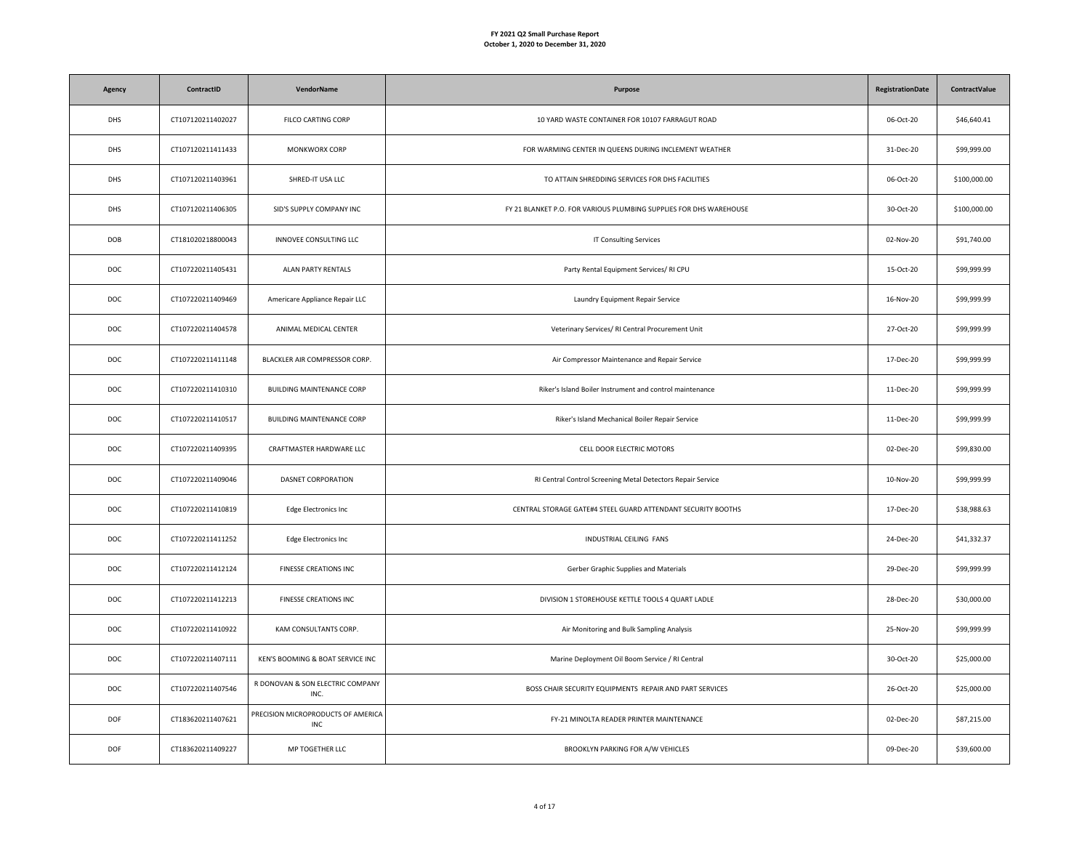| Agency     | ContractID        | VendorName                                | Purpose                                                            | <b>RegistrationDate</b> | <b>ContractValue</b> |
|------------|-------------------|-------------------------------------------|--------------------------------------------------------------------|-------------------------|----------------------|
| <b>DHS</b> | CT107120211402027 | FILCO CARTING CORP                        | 10 YARD WASTE CONTAINER FOR 10107 FARRAGUT ROAD                    | 06-Oct-20               | \$46,640.41          |
| <b>DHS</b> | CT107120211411433 | MONKWORX CORP                             | FOR WARMING CENTER IN QUEENS DURING INCLEMENT WEATHER              | 31-Dec-20               | \$99,999.00          |
| <b>DHS</b> | CT107120211403961 | SHRED-IT USA LLC                          | TO ATTAIN SHREDDING SERVICES FOR DHS FACILITIES                    | 06-Oct-20               | \$100,000.00         |
| <b>DHS</b> | CT107120211406305 | SID'S SUPPLY COMPANY INC                  | FY 21 BLANKET P.O. FOR VARIOUS PLUMBING SUPPLIES FOR DHS WAREHOUSE | 30-Oct-20               | \$100,000.00         |
| DOB        | CT181020218800043 | INNOVEE CONSULTING LLC                    | <b>IT Consulting Services</b>                                      | 02-Nov-20               | \$91,740.00          |
| DOC        | CT107220211405431 | <b>ALAN PARTY RENTALS</b>                 | Party Rental Equipment Services/ RI CPU                            | 15-Oct-20               | \$99,999.99          |
| DOC        | CT107220211409469 | Americare Appliance Repair LLC            | Laundry Equipment Repair Service                                   | 16-Nov-20               | \$99,999.99          |
| DOC        | CT107220211404578 | ANIMAL MEDICAL CENTER                     | Veterinary Services/ RI Central Procurement Unit                   | 27-Oct-20               | \$99,999.99          |
| <b>DOC</b> | CT107220211411148 | BLACKLER AIR COMPRESSOR CORP.             | Air Compressor Maintenance and Repair Service                      | 17-Dec-20               | \$99,999.99          |
| DOC        | CT107220211410310 | <b>BUILDING MAINTENANCE CORP</b>          | Riker's Island Boiler Instrument and control maintenance           | 11-Dec-20               | \$99,999.99          |
| DOC        | CT107220211410517 | BUILDING MAINTENANCE CORP                 | Riker's Island Mechanical Boiler Repair Service                    | 11-Dec-20               | \$99,999.99          |
| DOC        | CT107220211409395 | CRAFTMASTER HARDWARE LLC                  | CELL DOOR ELECTRIC MOTORS                                          | 02-Dec-20               | \$99,830.00          |
| DOC        | CT107220211409046 | DASNET CORPORATION                        | RI Central Control Screening Metal Detectors Repair Service        | 10-Nov-20               | \$99,999.99          |
| DOC        | CT107220211410819 | Edge Electronics Inc                      | CENTRAL STORAGE GATE#4 STEEL GUARD ATTENDANT SECURITY BOOTHS       | 17-Dec-20               | \$38,988.63          |
| DOC        | CT107220211411252 | Edge Electronics Inc                      | INDUSTRIAL CEILING FANS                                            | 24-Dec-20               | \$41,332.37          |
| DOC        | CT107220211412124 | FINESSE CREATIONS INC                     | Gerber Graphic Supplies and Materials                              | 29-Dec-20               | \$99,999.99          |
| DOC        | CT107220211412213 | FINESSE CREATIONS INC                     | DIVISION 1 STOREHOUSE KETTLE TOOLS 4 QUART LADLE                   | 28-Dec-20               | \$30,000.00          |
| DOC        | CT107220211410922 | KAM CONSULTANTS CORP.                     | Air Monitoring and Bulk Sampling Analysis                          | 25-Nov-20               | \$99,999.99          |
| DOC        | CT107220211407111 | KEN'S BOOMING & BOAT SERVICE INC          | Marine Deployment Oil Boom Service / RI Central                    | 30-Oct-20               | \$25,000.00          |
| DOC        | CT107220211407546 | R DONOVAN & SON ELECTRIC COMPANY<br>INC.  | BOSS CHAIR SECURITY EQUIPMENTS REPAIR AND PART SERVICES            | 26-Oct-20               | \$25,000.00          |
| DOF        | CT183620211407621 | PRECISION MICROPRODUCTS OF AMERICA<br>INC | FY-21 MINOLTA READER PRINTER MAINTENANCE                           | 02-Dec-20               | \$87,215.00          |
| DOF        | CT183620211409227 | MP TOGETHER LLC                           | BROOKLYN PARKING FOR A/W VEHICLES                                  | 09-Dec-20               | \$39,600.00          |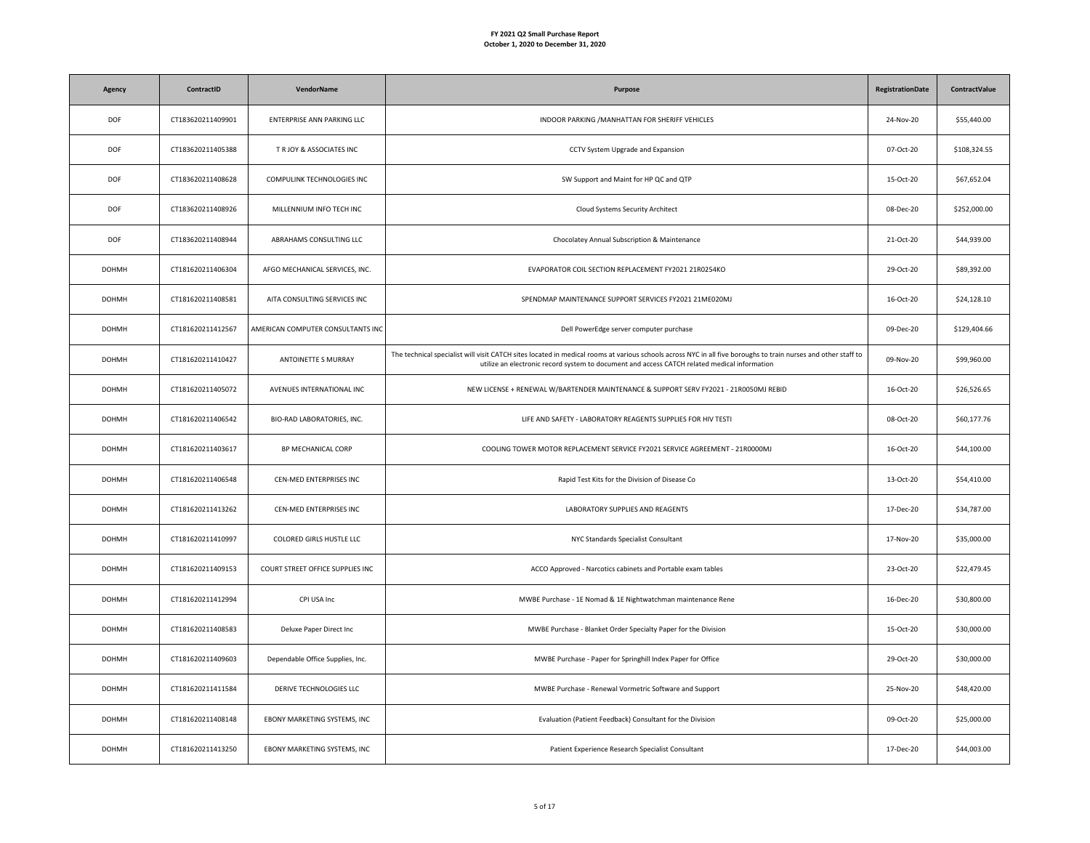| Agency       | ContractID        | <b>VendorName</b>                 | Purpose                                                                                                                                                                                                                                                        | <b>RegistrationDate</b> | ContractValue |
|--------------|-------------------|-----------------------------------|----------------------------------------------------------------------------------------------------------------------------------------------------------------------------------------------------------------------------------------------------------------|-------------------------|---------------|
| <b>DOF</b>   | CT183620211409901 | ENTERPRISE ANN PARKING LLC        | INDOOR PARKING / MANHATTAN FOR SHERIFF VEHICLES                                                                                                                                                                                                                | 24-Nov-20               | \$55,440.00   |
| DOF          | CT183620211405388 | T R JOY & ASSOCIATES INC          | CCTV System Upgrade and Expansion                                                                                                                                                                                                                              | 07-Oct-20               | \$108,324.55  |
| <b>DOF</b>   | CT183620211408628 | COMPULINK TECHNOLOGIES INC        | SW Support and Maint for HP QC and QTP                                                                                                                                                                                                                         | 15-Oct-20               | \$67,652.04   |
| <b>DOF</b>   | CT183620211408926 | MILLENNIUM INFO TECH INC          | Cloud Systems Security Architect                                                                                                                                                                                                                               | 08-Dec-20               | \$252,000.00  |
| <b>DOF</b>   | CT183620211408944 | ABRAHAMS CONSULTING LLC           | Chocolatey Annual Subscription & Maintenance                                                                                                                                                                                                                   | 21-Oct-20               | \$44,939.00   |
| <b>DOHMH</b> | CT181620211406304 | AFGO MECHANICAL SERVICES, INC.    | EVAPORATOR COIL SECTION REPLACEMENT FY2021 21R0254KO                                                                                                                                                                                                           | 29-Oct-20               | \$89,392.00   |
| <b>DOHMH</b> | CT181620211408581 | AITA CONSULTING SERVICES INC      | SPENDMAP MAINTENANCE SUPPORT SERVICES FY2021 21ME020MJ                                                                                                                                                                                                         | 16-Oct-20               | \$24,128.10   |
| <b>DOHMH</b> | CT181620211412567 | AMERICAN COMPUTER CONSULTANTS INC | Dell PowerEdge server computer purchase                                                                                                                                                                                                                        | 09-Dec-20               | \$129,404.66  |
| <b>DOHMH</b> | CT181620211410427 | ANTOINETTE S MURRAY               | The technical specialist will visit CATCH sites located in medical rooms at various schools across NYC in all five boroughs to train nurses and other staff to<br>utilize an electronic record system to document and access CATCH related medical information | 09-Nov-20               | \$99,960.00   |
| <b>DOHMH</b> | CT181620211405072 | AVENUES INTERNATIONAL INC         | NEW LICENSE + RENEWAL W/BARTENDER MAINTENANCE & SUPPORT SERV FY2021 - 21R0050MJ REBID                                                                                                                                                                          | 16-Oct-20               | \$26,526.65   |
| <b>DOHMH</b> | CT181620211406542 | BIO-RAD LABORATORIES, INC.        | LIFE AND SAFETY - LABORATORY REAGENTS SUPPLIES FOR HIV TESTI                                                                                                                                                                                                   | 08-Oct-20               | \$60,177.76   |
| <b>DOHMH</b> | CT181620211403617 | BP MECHANICAL CORP                | COOLING TOWER MOTOR REPLACEMENT SERVICE FY2021 SERVICE AGREEMENT - 21R0000MJ                                                                                                                                                                                   | 16-Oct-20               | \$44,100.00   |
| <b>DOHMH</b> | CT181620211406548 | CEN-MED ENTERPRISES INC           | Rapid Test Kits for the Division of Disease Co                                                                                                                                                                                                                 | 13-Oct-20               | \$54,410.00   |
| <b>DOHMH</b> | CT181620211413262 | CEN-MED ENTERPRISES INC           | LABORATORY SUPPLIES AND REAGENTS                                                                                                                                                                                                                               | 17-Dec-20               | \$34,787.00   |
| <b>DOHMH</b> | CT181620211410997 | COLORED GIRLS HUSTLE LLC          | NYC Standards Specialist Consultant                                                                                                                                                                                                                            | 17-Nov-20               | \$35,000.00   |
| <b>DOHMH</b> | CT181620211409153 | COURT STREET OFFICE SUPPLIES INC  | ACCO Approved - Narcotics cabinets and Portable exam tables                                                                                                                                                                                                    | 23-Oct-20               | \$22,479.45   |
| <b>DOHMH</b> | CT181620211412994 | CPI USA Inc                       | MWBE Purchase - 1E Nomad & 1E Nightwatchman maintenance Rene                                                                                                                                                                                                   | 16-Dec-20               | \$30,800.00   |
| <b>DOHMH</b> | CT181620211408583 | Deluxe Paper Direct Inc           | MWBE Purchase - Blanket Order Specialty Paper for the Division                                                                                                                                                                                                 | 15-Oct-20               | \$30,000.00   |
| <b>DOHMH</b> | CT181620211409603 | Dependable Office Supplies, Inc.  | MWBE Purchase - Paper for Springhill Index Paper for Office                                                                                                                                                                                                    | 29-Oct-20               | \$30,000.00   |
| <b>DOHMH</b> | CT181620211411584 | DERIVE TECHNOLOGIES LLC           | MWBE Purchase - Renewal Vormetric Software and Support                                                                                                                                                                                                         | 25-Nov-20               | \$48,420.00   |
| <b>DOHMH</b> | CT181620211408148 | EBONY MARKETING SYSTEMS, INC      | Evaluation (Patient Feedback) Consultant for the Division                                                                                                                                                                                                      | 09-Oct-20               | \$25,000.00   |
| <b>DOHMH</b> | CT181620211413250 | EBONY MARKETING SYSTEMS, INC      | Patient Experience Research Specialist Consultant                                                                                                                                                                                                              | 17-Dec-20               | \$44,003.00   |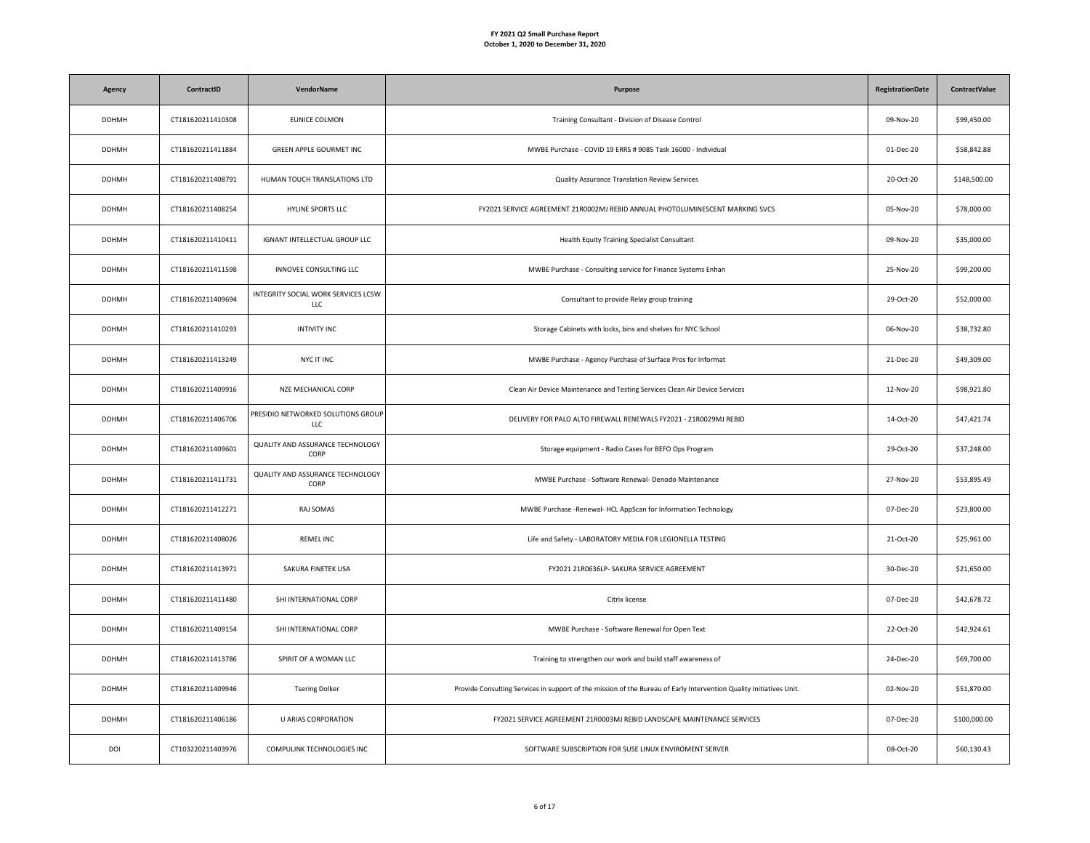| Agency       | ContractID        | <b>VendorName</b>                          | Purpose                                                                                                             | <b>RegistrationDate</b> | ContractValue |
|--------------|-------------------|--------------------------------------------|---------------------------------------------------------------------------------------------------------------------|-------------------------|---------------|
| <b>DOHMH</b> | CT181620211410308 | EUNICE COLMON                              | Training Consultant - Division of Disease Control                                                                   | 09-Nov-20               | \$99,450.00   |
| <b>DOHMH</b> | CT181620211411884 | GREEN APPLE GOURMET INC                    | MWBE Purchase - COVID 19 ERRS # 9085 Task 16000 - Individual                                                        | 01-Dec-20               | \$58,842.88   |
| <b>DOHMH</b> | CT181620211408791 | HUMAN TOUCH TRANSLATIONS LTD               | Quality Assurance Translation Review Services                                                                       | 20-Oct-20               | \$148,500.00  |
| <b>DOHMH</b> | CT181620211408254 | HYLINE SPORTS LLC                          | FY2021 SERVICE AGREEMENT 21R0002MJ REBID ANNUAL PHOTOLUMINESCENT MARKING SVCS                                       | 05-Nov-20               | \$78,000.00   |
| <b>DOHMH</b> | CT181620211410411 | <b>IGNANT INTELLECTUAL GROUP LLC</b>       | Health Equity Training Specialist Consultant                                                                        | 09-Nov-20               | \$35,000.00   |
| <b>DOHMH</b> | CT181620211411598 | INNOVEE CONSULTING LLC                     | MWBE Purchase - Consulting service for Finance Systems Enhan                                                        | 25-Nov-20               | \$99,200.00   |
| <b>DOHMH</b> | CT181620211409694 | INTEGRITY SOCIAL WORK SERVICES LCSW<br>LLC | Consultant to provide Relay group training                                                                          | 29-Oct-20               | \$52,000.00   |
| <b>DOHMH</b> | CT181620211410293 | <b>INTIVITY INC</b>                        | Storage Cabinets with locks, bins and shelves for NYC School                                                        | 06-Nov-20               | \$38,732.80   |
| <b>DOHMH</b> | CT181620211413249 | NYC IT INC                                 | MWBE Purchase - Agency Purchase of Surface Pros for Informat                                                        | 21-Dec-20               | \$49,309.00   |
| <b>DOHMH</b> | CT181620211409916 | NZE MECHANICAL CORP                        | Clean Air Device Maintenance and Testing Services Clean Air Device Services                                         | 12-Nov-20               | \$98,921.80   |
| <b>DOHMH</b> | CT181620211406706 | PRESIDIO NETWORKED SOLUTIONS GROUP<br>LLC  | DELIVERY FOR PALO ALTO FIREWALL RENEWALS FY2021 - 21R0029MJ REBID                                                   | 14-Oct-20               | \$47,421.74   |
| <b>DOHMH</b> | CT181620211409601 | QUALITY AND ASSURANCE TECHNOLOGY<br>CORP   | Storage equipment - Radio Cases for BEFO Ops Program                                                                | 29-Oct-20               | \$37,248.00   |
| <b>DOHMH</b> | CT181620211411731 | QUALITY AND ASSURANCE TECHNOLOGY<br>CORP   | MWBE Purchase - Software Renewal- Denodo Maintenance                                                                | 27-Nov-20               | \$53,895.49   |
| <b>DOHMH</b> | CT181620211412271 | RAJ SOMAS                                  | MWBE Purchase -Renewal- HCL AppScan for Information Technology                                                      | 07-Dec-20               | \$23,800.00   |
| <b>DOHMH</b> | CT181620211408026 | <b>REMEL INC</b>                           | Life and Safety - LABORATORY MEDIA FOR LEGIONELLA TESTING                                                           | 21-Oct-20               | \$25,961.00   |
| <b>DOHMH</b> | CT181620211413971 | SAKURA FINETEK USA                         | FY2021 21R0636LP- SAKURA SERVICE AGREEMENT                                                                          | 30-Dec-20               | \$21,650.00   |
| <b>DOHMH</b> | CT181620211411480 | SHI INTERNATIONAL CORP                     | Citrix license                                                                                                      | 07-Dec-20               | \$42,678.72   |
| <b>DOHMH</b> | CT181620211409154 | SHI INTERNATIONAL CORP                     | MWBE Purchase - Software Renewal for Open Text                                                                      | 22-Oct-20               | \$42,924.61   |
| <b>DOHMH</b> | CT181620211413786 | SPIRIT OF A WOMAN LLC                      | Training to strengthen our work and build staff awareness of                                                        | 24-Dec-20               | \$69,700.00   |
| <b>DOHMH</b> | CT181620211409946 | <b>Tsering Dolker</b>                      | Provide Consulting Services in support of the mission of the Bureau of Early Intervention Quality Initiatives Unit. | 02-Nov-20               | \$51,870.00   |
| <b>DOHMH</b> | CT181620211406186 | U ARIAS CORPORATION                        | FY2021 SERVICE AGREEMENT 21R0003MJ REBID LANDSCAPE MAINTENANCE SERVICES                                             | 07-Dec-20               | \$100,000.00  |
| DOI          | CT103220211403976 | COMPULINK TECHNOLOGIES INC                 | SOFTWARE SUBSCRIPTION FOR SUSE LINUX ENVIROMENT SERVER                                                              | 08-Oct-20               | \$60,130.43   |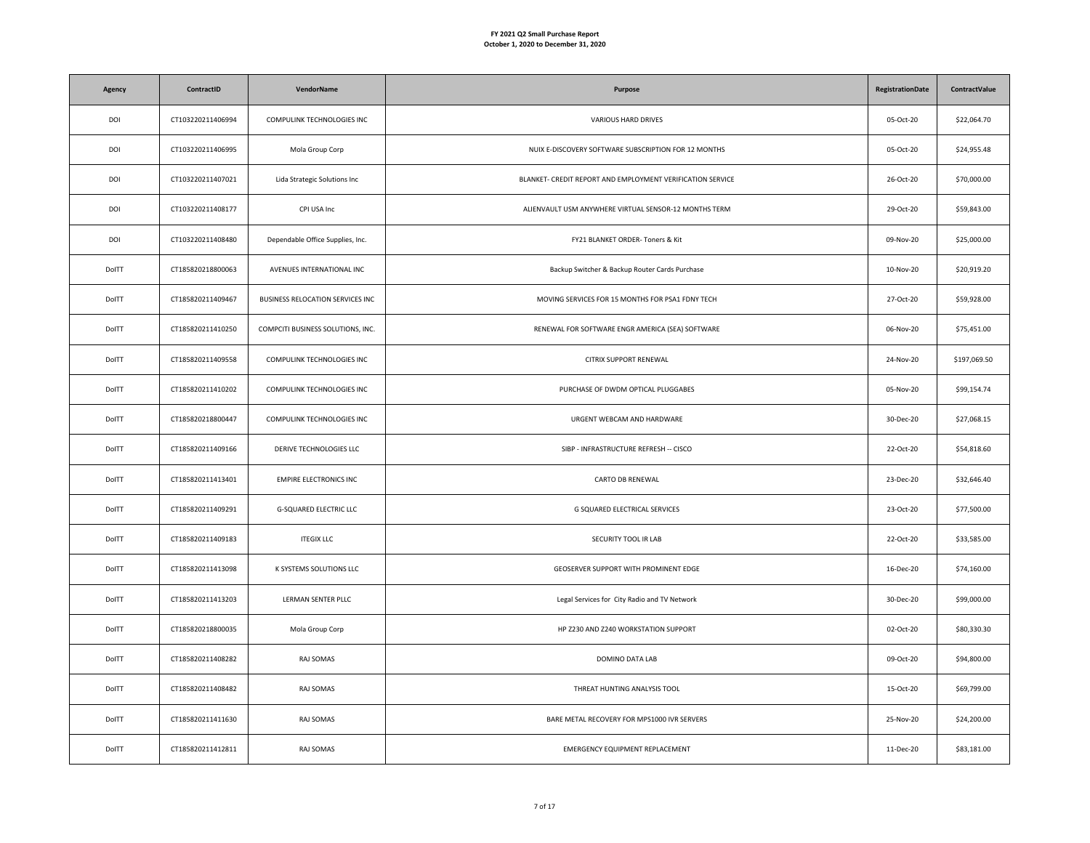| Agency | ContractID        | VendorName                        | Purpose                                                    | <b>RegistrationDate</b> | ContractValue |
|--------|-------------------|-----------------------------------|------------------------------------------------------------|-------------------------|---------------|
| DOI    | CT103220211406994 | COMPULINK TECHNOLOGIES INC        | VARIOUS HARD DRIVES                                        | 05-Oct-20               | \$22,064.70   |
| DOI    | CT103220211406995 | Mola Group Corp                   | NUIX E-DISCOVERY SOFTWARE SUBSCRIPTION FOR 12 MONTHS       | 05-Oct-20               | \$24,955.48   |
| DOI    | CT103220211407021 | Lida Strategic Solutions Inc      | BLANKET- CREDIT REPORT AND EMPLOYMENT VERIFICATION SERVICE | 26-Oct-20               | \$70,000.00   |
| DOI    | CT103220211408177 | CPI USA Inc                       | ALIENVAULT USM ANYWHERE VIRTUAL SENSOR-12 MONTHS TERM      | 29-Oct-20               | \$59,843.00   |
| DOI    | CT103220211408480 | Dependable Office Supplies, Inc.  | FY21 BLANKET ORDER- Toners & Kit                           | 09-Nov-20               | \$25,000.00   |
| DolTT  | CT185820218800063 | AVENUES INTERNATIONAL INC         | Backup Switcher & Backup Router Cards Purchase             | 10-Nov-20               | \$20,919.20   |
| DolTT  | CT185820211409467 | BUSINESS RELOCATION SERVICES INC  | MOVING SERVICES FOR 15 MONTHS FOR PSA1 FDNY TECH           | 27-Oct-20               | \$59,928.00   |
| DolTT  | CT185820211410250 | COMPCITI BUSINESS SOLUTIONS, INC. | RENEWAL FOR SOFTWARE ENGR AMERICA (SEA) SOFTWARE           | 06-Nov-20               | \$75,451.00   |
| DolTT  | CT185820211409558 | COMPULINK TECHNOLOGIES INC        | CITRIX SUPPORT RENEWAL                                     | 24-Nov-20               | \$197,069.50  |
| DolTT  | CT185820211410202 | COMPULINK TECHNOLOGIES INC        | PURCHASE OF DWDM OPTICAL PLUGGABES                         | 05-Nov-20               | \$99,154.74   |
| DolTT  | CT185820218800447 | COMPULINK TECHNOLOGIES INC        | URGENT WEBCAM AND HARDWARE                                 | 30-Dec-20               | \$27,068.15   |
| DolTT  | CT185820211409166 | DERIVE TECHNOLOGIES LLC           | SIBP - INFRASTRUCTURE REFRESH -- CISCO                     | 22-Oct-20               | \$54,818.60   |
| DolTT  | CT185820211413401 | <b>EMPIRE ELECTRONICS INC</b>     | CARTO DB RENEWAL                                           | 23-Dec-20               | \$32,646.40   |
| DolTT  | CT185820211409291 | <b>G-SQUARED ELECTRIC LLC</b>     | G SQUARED ELECTRICAL SERVICES                              | 23-Oct-20               | \$77,500.00   |
| DolTT  | CT185820211409183 | <b>ITEGIX LLC</b>                 | SECURITY TOOL IR LAB                                       | 22-Oct-20               | \$33,585.00   |
| DolTT  | CT185820211413098 | K SYSTEMS SOLUTIONS LLC           | GEOSERVER SUPPORT WITH PROMINENT EDGE                      | 16-Dec-20               | \$74,160.00   |
| DolTT  | CT185820211413203 | LERMAN SENTER PLLC                | Legal Services for City Radio and TV Network               | 30-Dec-20               | \$99,000.00   |
| DolTT  | CT185820218800035 | Mola Group Corp                   | HP Z230 AND Z240 WORKSTATION SUPPORT                       | 02-Oct-20               | \$80,330.30   |
| DolTT  | CT185820211408282 | RAJ SOMAS                         | DOMINO DATA LAB                                            | 09-Oct-20               | \$94,800.00   |
| DolTT  | CT185820211408482 | RAJ SOMAS                         | THREAT HUNTING ANALYSIS TOOL                               | 15-Oct-20               | \$69,799.00   |
| DolTT  | CT185820211411630 | RAJ SOMAS                         | BARE METAL RECOVERY FOR MPS1000 IVR SERVERS                | 25-Nov-20               | \$24,200.00   |
| DolTT  | CT185820211412811 | RAJ SOMAS                         | EMERGENCY EQUIPMENT REPLACEMENT                            | 11-Dec-20               | \$83,181.00   |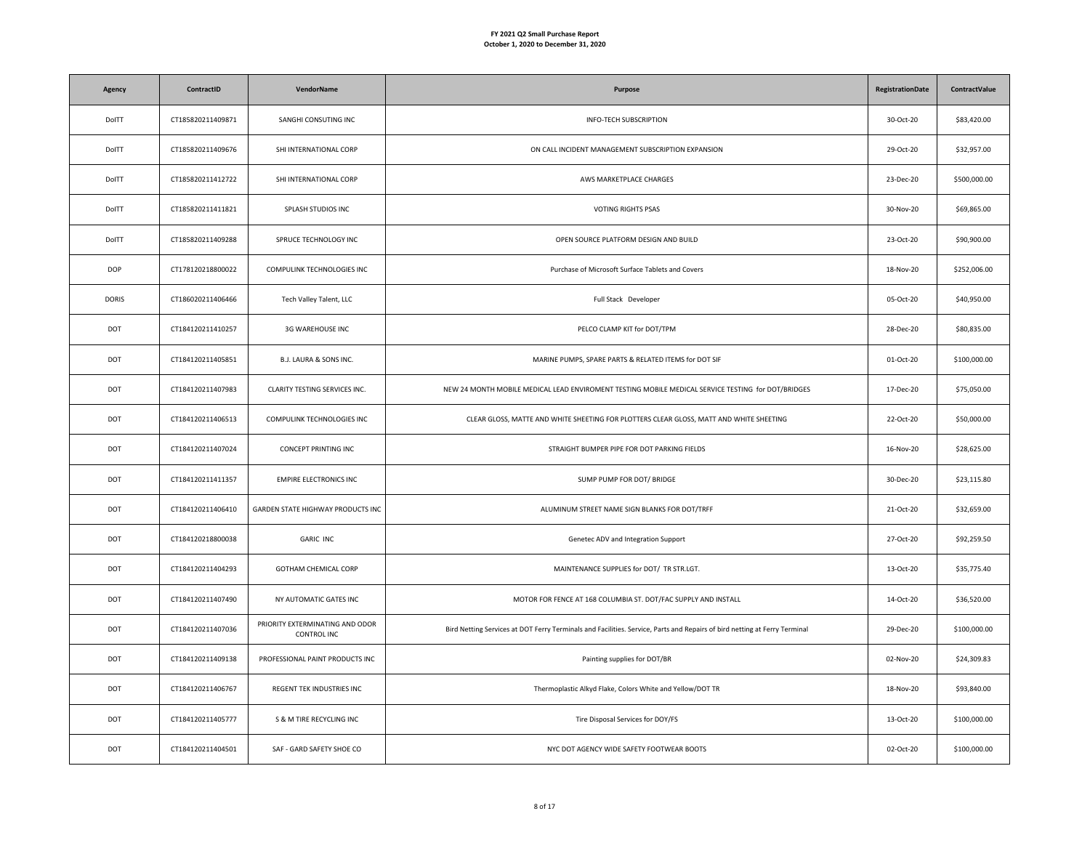| Agency       | ContractID        | VendorName                                            | Purpose                                                                                                                   | <b>RegistrationDate</b> | <b>ContractValue</b> |
|--------------|-------------------|-------------------------------------------------------|---------------------------------------------------------------------------------------------------------------------------|-------------------------|----------------------|
| DolTT        | CT185820211409871 | SANGHI CONSUTING INC                                  | <b>INFO-TECH SUBSCRIPTION</b>                                                                                             | 30-Oct-20               | \$83,420.00          |
| DolTT        | CT185820211409676 | SHI INTERNATIONAL CORP                                | ON CALL INCIDENT MANAGEMENT SUBSCRIPTION EXPANSION                                                                        | 29-Oct-20               | \$32,957.00          |
| DolTT        | CT185820211412722 | SHI INTERNATIONAL CORP                                | AWS MARKETPLACE CHARGES                                                                                                   | 23-Dec-20               | \$500,000.00         |
| DolTT        | CT185820211411821 | SPLASH STUDIOS INC                                    | <b>VOTING RIGHTS PSAS</b>                                                                                                 | 30-Nov-20               | \$69,865.00          |
| DolTT        | CT185820211409288 | SPRUCE TECHNOLOGY INC                                 | OPEN SOURCE PLATFORM DESIGN AND BUILD                                                                                     | 23-Oct-20               | \$90,900.00          |
| <b>DOP</b>   | CT178120218800022 | COMPULINK TECHNOLOGIES INC                            | Purchase of Microsoft Surface Tablets and Covers                                                                          | 18-Nov-20               | \$252,006.00         |
| <b>DORIS</b> | CT186020211406466 | Tech Valley Talent, LLC                               | Full Stack Developer                                                                                                      | 05-Oct-20               | \$40,950.00          |
| DOT          | CT184120211410257 | 3G WAREHOUSE INC                                      | PELCO CLAMP KIT for DOT/TPM                                                                                               | 28-Dec-20               | \$80,835.00          |
| DOT          | CT184120211405851 | B.J. LAURA & SONS INC.                                | MARINE PUMPS, SPARE PARTS & RELATED ITEMS for DOT SIF                                                                     | 01-Oct-20               | \$100,000.00         |
| DOT          | CT184120211407983 | CLARITY TESTING SERVICES INC.                         | NEW 24 MONTH MOBILE MEDICAL LEAD ENVIROMENT TESTING MOBILE MEDICAL SERVICE TESTING for DOT/BRIDGES                        | 17-Dec-20               | \$75,050.00          |
| DOT          | CT184120211406513 | COMPULINK TECHNOLOGIES INC                            | CLEAR GLOSS, MATTE AND WHITE SHEETING FOR PLOTTERS CLEAR GLOSS, MATT AND WHITE SHEETING                                   | 22-Oct-20               | \$50,000.00          |
| DOT          | CT184120211407024 | CONCEPT PRINTING INC                                  | STRAIGHT BUMPER PIPE FOR DOT PARKING FIELDS                                                                               | 16-Nov-20               | \$28,625.00          |
| DOT          | CT184120211411357 | <b>EMPIRE ELECTRONICS INC</b>                         | SUMP PUMP FOR DOT/ BRIDGE                                                                                                 | 30-Dec-20               | \$23,115.80          |
| DOT          | CT184120211406410 | GARDEN STATE HIGHWAY PRODUCTS INC                     | ALUMINUM STREET NAME SIGN BLANKS FOR DOT/TRFF                                                                             | 21-Oct-20               | \$32,659.00          |
| DOT          | CT184120218800038 | <b>GARIC INC</b>                                      | Genetec ADV and Integration Support                                                                                       | 27-Oct-20               | \$92,259.50          |
| DOT          | CT184120211404293 | GOTHAM CHEMICAL CORP                                  | MAINTENANCE SUPPLIES for DOT/ TR STR.LGT.                                                                                 | 13-Oct-20               | \$35,775.40          |
| DOT          | CT184120211407490 | NY AUTOMATIC GATES INC                                | MOTOR FOR FENCE AT 168 COLUMBIA ST. DOT/FAC SUPPLY AND INSTALL                                                            | 14-Oct-20               | \$36,520.00          |
| DOT          | CT184120211407036 | PRIORITY EXTERMINATING AND ODOR<br><b>CONTROL INC</b> | Bird Netting Services at DOT Ferry Terminals and Facilities. Service, Parts and Repairs of bird netting at Ferry Terminal | 29-Dec-20               | \$100,000.00         |
| DOT          | CT184120211409138 | PROFESSIONAL PAINT PRODUCTS INC                       | Painting supplies for DOT/BR                                                                                              | 02-Nov-20               | \$24,309.83          |
| DOT          | CT184120211406767 | REGENT TEK INDUSTRIES INC                             | Thermoplastic Alkyd Flake, Colors White and Yellow/DOT TR                                                                 | 18-Nov-20               | \$93,840.00          |
| DOT          | CT184120211405777 | S & M TIRE RECYCLING INC                              | Tire Disposal Services for DOY/FS                                                                                         | 13-Oct-20               | \$100,000.00         |
| DOT          | CT184120211404501 | SAF - GARD SAFETY SHOE CO                             | NYC DOT AGENCY WIDE SAFETY FOOTWEAR BOOTS                                                                                 | 02-Oct-20               | \$100,000.00         |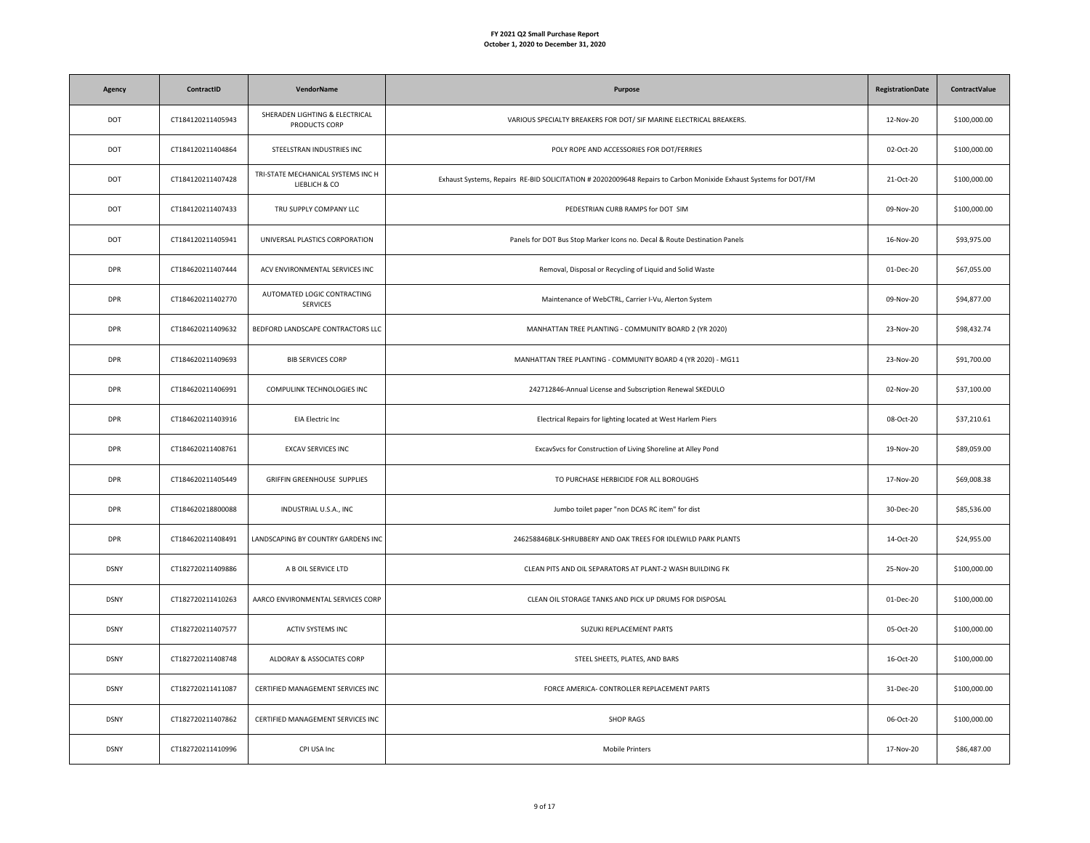| <b>Agency</b> | ContractID        | <b>VendorName</b>                                   | Purpose                                                                                                          | <b>RegistrationDate</b> | <b>ContractValue</b> |
|---------------|-------------------|-----------------------------------------------------|------------------------------------------------------------------------------------------------------------------|-------------------------|----------------------|
| DOT           | CT184120211405943 | SHERADEN LIGHTING & ELECTRICAL<br>PRODUCTS CORP     | VARIOUS SPECIALTY BREAKERS FOR DOT/ SIF MARINE ELECTRICAL BREAKERS.                                              | 12-Nov-20               | \$100,000.00         |
| DOT           | CT184120211404864 | STEELSTRAN INDUSTRIES INC                           | POLY ROPE AND ACCESSORIES FOR DOT/FERRIES                                                                        | 02-Oct-20               | \$100,000.00         |
| DOT           | CT184120211407428 | TRI-STATE MECHANICAL SYSTEMS INC H<br>LIEBLICH & CO | Exhaust Systems, Repairs RE-BID SOLICITATION # 20202009648 Repairs to Carbon Monixide Exhaust Systems for DOT/FM | 21-Oct-20               | \$100,000.00         |
| DOT           | CT184120211407433 | TRU SUPPLY COMPANY LLC                              | PEDESTRIAN CURB RAMPS for DOT SIM                                                                                | 09-Nov-20               | \$100,000.00         |
| DOT           | CT184120211405941 | UNIVERSAL PLASTICS CORPORATION                      | Panels for DOT Bus Stop Marker Icons no. Decal & Route Destination Panels                                        | 16-Nov-20               | \$93,975.00          |
| <b>DPR</b>    | CT184620211407444 | ACV ENVIRONMENTAL SERVICES INC                      | Removal, Disposal or Recycling of Liquid and Solid Waste                                                         | 01-Dec-20               | \$67,055.00          |
| <b>DPR</b>    | CT184620211402770 | AUTOMATED LOGIC CONTRACTING<br>SERVICES             | Maintenance of WebCTRL, Carrier I-Vu, Alerton System                                                             | 09-Nov-20               | \$94,877.00          |
| <b>DPR</b>    | CT184620211409632 | BEDFORD LANDSCAPE CONTRACTORS LLC                   | MANHATTAN TREE PLANTING - COMMUNITY BOARD 2 (YR 2020)                                                            | 23-Nov-20               | \$98,432.74          |
| <b>DPR</b>    | CT184620211409693 | <b>BIB SERVICES CORP</b>                            | MANHATTAN TREE PLANTING - COMMUNITY BOARD 4 (YR 2020) - MG11                                                     | 23-Nov-20               | \$91,700.00          |
| <b>DPR</b>    | CT184620211406991 | COMPULINK TECHNOLOGIES INC                          | 242712846-Annual License and Subscription Renewal SKEDULO                                                        | 02-Nov-20               | \$37,100.00          |
| <b>DPR</b>    | CT184620211403916 | <b>EIA Electric Inc</b>                             | Electrical Repairs for lighting located at West Harlem Piers                                                     | 08-Oct-20               | \$37,210.61          |
| <b>DPR</b>    | CT184620211408761 | EXCAV SERVICES INC                                  | ExcavSvcs for Construction of Living Shoreline at Alley Pond                                                     | 19-Nov-20               | \$89,059.00          |
| <b>DPR</b>    | CT184620211405449 | GRIFFIN GREENHOUSE SUPPLIES                         | TO PURCHASE HERBICIDE FOR ALL BOROUGHS                                                                           | 17-Nov-20               | \$69,008.38          |
| <b>DPR</b>    | CT184620218800088 | INDUSTRIAL U.S.A., INC                              | Jumbo toilet paper "non DCAS RC item" for dist                                                                   | 30-Dec-20               | \$85,536.00          |
| <b>DPR</b>    | CT184620211408491 | LANDSCAPING BY COUNTRY GARDENS INC                  | 246258846BLK-SHRUBBERY AND OAK TREES FOR IDLEWILD PARK PLANTS                                                    | 14-Oct-20               | \$24,955.00          |
| <b>DSNY</b>   | CT182720211409886 | A B OIL SERVICE LTD                                 | CLEAN PITS AND OIL SEPARATORS AT PLANT-2 WASH BUILDING FK                                                        | 25-Nov-20               | \$100,000.00         |
| <b>DSNY</b>   | CT182720211410263 | AARCO ENVIRONMENTAL SERVICES CORP                   | CLEAN OIL STORAGE TANKS AND PICK UP DRUMS FOR DISPOSAL                                                           | 01-Dec-20               | \$100,000.00         |
| <b>DSNY</b>   | CT182720211407577 | ACTIV SYSTEMS INC                                   | SUZUKI REPLACEMENT PARTS                                                                                         | 05-Oct-20               | \$100,000.00         |
| <b>DSNY</b>   | CT182720211408748 | ALDORAY & ASSOCIATES CORP                           | STEEL SHEETS, PLATES, AND BARS                                                                                   | 16-Oct-20               | \$100,000.00         |
| <b>DSNY</b>   | CT182720211411087 | CERTIFIED MANAGEMENT SERVICES INC                   | FORCE AMERICA- CONTROLLER REPLACEMENT PARTS                                                                      | 31-Dec-20               | \$100,000.00         |
| <b>DSNY</b>   | CT182720211407862 | CERTIFIED MANAGEMENT SERVICES INC                   | <b>SHOP RAGS</b>                                                                                                 | 06-Oct-20               | \$100,000.00         |
| <b>DSNY</b>   | CT182720211410996 | CPI USA Inc                                         | Mobile Printers                                                                                                  | 17-Nov-20               | \$86,487.00          |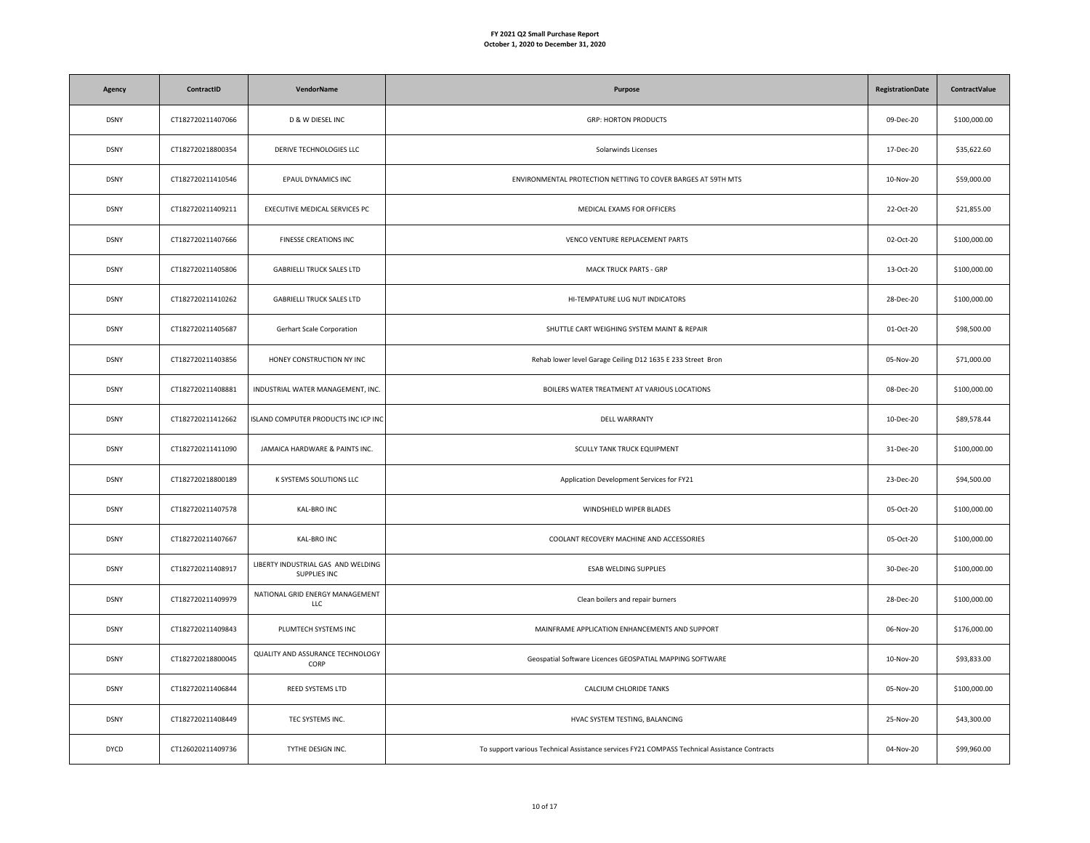| Agency      | ContractID        | VendorName                                         | Purpose                                                                                      | <b>RegistrationDate</b> | <b>ContractValue</b> |
|-------------|-------------------|----------------------------------------------------|----------------------------------------------------------------------------------------------|-------------------------|----------------------|
| <b>DSNY</b> | CT182720211407066 | D & W DIESEL INC                                   | <b>GRP: HORTON PRODUCTS</b>                                                                  | 09-Dec-20               | \$100,000.00         |
| <b>DSNY</b> | CT182720218800354 | DERIVE TECHNOLOGIES LLC                            | Solarwinds Licenses                                                                          | 17-Dec-20               | \$35,622.60          |
| <b>DSNY</b> | CT182720211410546 | EPAUL DYNAMICS INC                                 | ENVIRONMENTAL PROTECTION NETTING TO COVER BARGES AT 59TH MTS                                 | 10-Nov-20               | \$59,000.00          |
| <b>DSNY</b> | CT182720211409211 | EXECUTIVE MEDICAL SERVICES PC                      | MEDICAL EXAMS FOR OFFICERS                                                                   | 22-Oct-20               | \$21,855.00          |
| <b>DSNY</b> | CT182720211407666 | FINESSE CREATIONS INC                              | VENCO VENTURE REPLACEMENT PARTS                                                              | 02-Oct-20               | \$100,000.00         |
| <b>DSNY</b> | CT182720211405806 | <b>GABRIELLI TRUCK SALES LTD</b>                   | <b>MACK TRUCK PARTS - GRP</b>                                                                | 13-Oct-20               | \$100,000.00         |
| <b>DSNY</b> | CT182720211410262 | <b>GABRIELLI TRUCK SALES LTD</b>                   | HI-TEMPATURE LUG NUT INDICATORS                                                              | 28-Dec-20               | \$100,000.00         |
| <b>DSNY</b> | CT182720211405687 | Gerhart Scale Corporation                          | SHUTTLE CART WEIGHING SYSTEM MAINT & REPAIR                                                  | 01-Oct-20               | \$98,500.00          |
| <b>DSNY</b> | CT182720211403856 | HONEY CONSTRUCTION NY INC                          | Rehab lower level Garage Ceiling D12 1635 E 233 Street Bron                                  | 05-Nov-20               | \$71,000.00          |
| <b>DSNY</b> | CT182720211408881 | INDUSTRIAL WATER MANAGEMENT, INC.                  | BOILERS WATER TREATMENT AT VARIOUS LOCATIONS                                                 | 08-Dec-20               | \$100,000.00         |
| <b>DSNY</b> | CT182720211412662 | ISLAND COMPUTER PRODUCTS INC ICP INC               | DELL WARRANTY                                                                                | 10-Dec-20               | \$89,578.44          |
| <b>DSNY</b> | CT182720211411090 | JAMAICA HARDWARE & PAINTS INC.                     | SCULLY TANK TRUCK EQUIPMENT                                                                  | 31-Dec-20               | \$100,000.00         |
| <b>DSNY</b> | CT182720218800189 | K SYSTEMS SOLUTIONS LLC                            | Application Development Services for FY21                                                    | 23-Dec-20               | \$94,500.00          |
| <b>DSNY</b> | CT182720211407578 | KAL-BRO INC                                        | WINDSHIELD WIPER BLADES                                                                      | 05-Oct-20               | \$100,000.00         |
| <b>DSNY</b> | CT182720211407667 | KAL-BRO INC                                        | COOLANT RECOVERY MACHINE AND ACCESSORIES                                                     | 05-Oct-20               | \$100,000.00         |
| <b>DSNY</b> | CT182720211408917 | LIBERTY INDUSTRIAL GAS AND WELDING<br>SUPPLIES INC | ESAB WELDING SUPPLIES                                                                        | 30-Dec-20               | \$100,000.00         |
| <b>DSNY</b> | CT182720211409979 | NATIONAL GRID ENERGY MANAGEMENT<br>LLC             | Clean boilers and repair burners                                                             | 28-Dec-20               | \$100,000.00         |
| <b>DSNY</b> | CT182720211409843 | PLUMTECH SYSTEMS INC                               | MAINFRAME APPLICATION ENHANCEMENTS AND SUPPORT                                               | 06-Nov-20               | \$176,000.00         |
| <b>DSNY</b> | CT182720218800045 | QUALITY AND ASSURANCE TECHNOLOGY<br>CORP           | Geospatial Software Licences GEOSPATIAL MAPPING SOFTWARE                                     | 10-Nov-20               | \$93,833.00          |
| <b>DSNY</b> | CT182720211406844 | REED SYSTEMS LTD                                   | CALCIUM CHLORIDE TANKS                                                                       | 05-Nov-20               | \$100,000.00         |
| <b>DSNY</b> | CT182720211408449 | TEC SYSTEMS INC.                                   | HVAC SYSTEM TESTING, BALANCING                                                               | 25-Nov-20               | \$43,300.00          |
| <b>DYCD</b> | CT126020211409736 | TYTHE DESIGN INC.                                  | To support various Technical Assistance services FY21 COMPASS Technical Assistance Contracts | 04-Nov-20               | \$99,960.00          |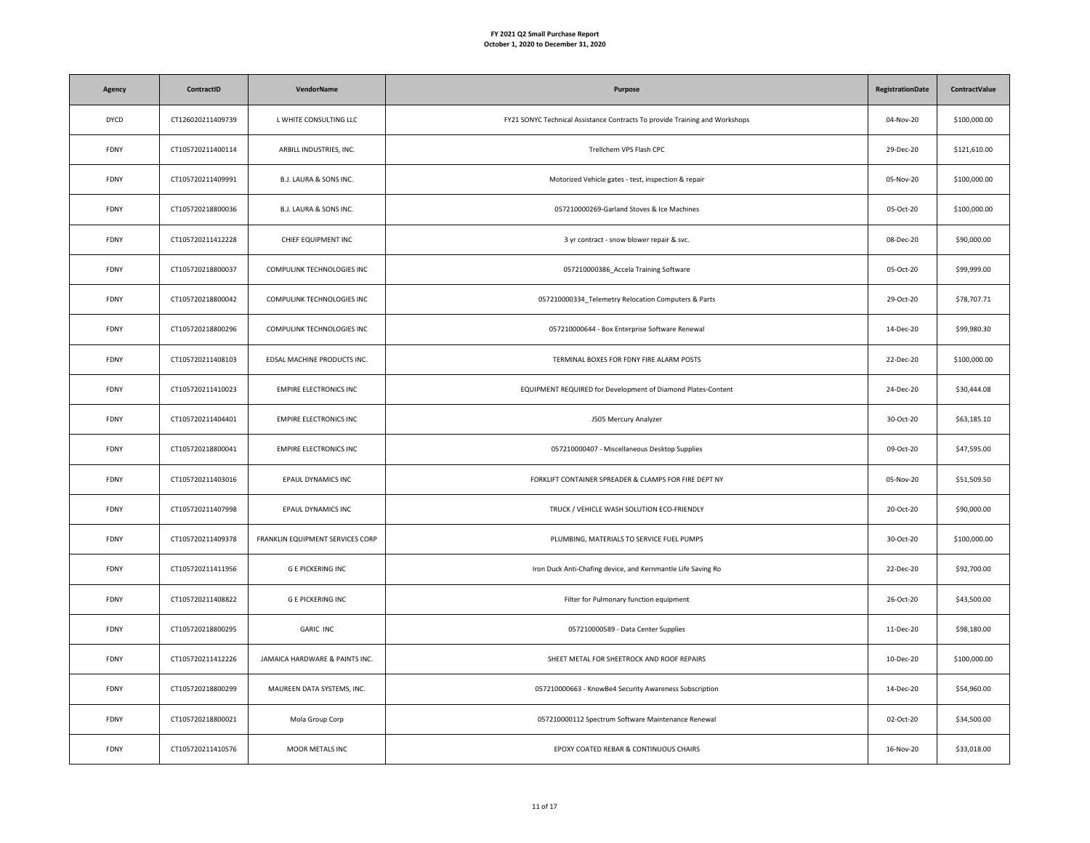| Agency      | ContractID        | <b>VendorName</b>                | Purpose                                                                     | <b>RegistrationDate</b> | ContractValue |
|-------------|-------------------|----------------------------------|-----------------------------------------------------------------------------|-------------------------|---------------|
| <b>DYCD</b> | CT126020211409739 | L WHITE CONSULTING LLC           | FY21 SONYC Technical Assistance Contracts To provide Training and Workshops | 04-Nov-20               | \$100,000.00  |
| FDNY        | CT105720211400114 | ARBILL INDUSTRIES, INC.          | Trellchem VPS Flash CPC                                                     | 29-Dec-20               | \$121,610.00  |
| FDNY        | CT105720211409991 | B.J. LAURA & SONS INC.           | Motorized Vehicle gates - test, inspection & repair                         | 05-Nov-20               | \$100,000.00  |
| FDNY        | CT105720218800036 | B.J. LAURA & SONS INC.           | 057210000269-Garland Stoves & Ice Machines                                  | 05-Oct-20               | \$100,000.00  |
| FDNY        | CT105720211412228 | CHIEF EQUIPMENT INC              | 3 yr contract - snow blower repair & svc.                                   | 08-Dec-20               | \$90,000.00   |
| FDNY        | CT105720218800037 | COMPULINK TECHNOLOGIES INC       | 057210000386_Accela Training Software                                       | 05-Oct-20               | \$99,999.00   |
| FDNY        | CT105720218800042 | COMPULINK TECHNOLOGIES INC       | 057210000334_Telemetry Relocation Computers & Parts                         | 29-Oct-20               | \$78,707.71   |
| FDNY        | CT105720218800296 | COMPULINK TECHNOLOGIES INC       | 057210000644 - Box Enterprise Software Renewal                              | 14-Dec-20               | \$99,980.30   |
| FDNY        | CT105720211408103 | EDSAL MACHINE PRODUCTS INC.      | TERMINAL BOXES FOR FDNY FIRE ALARM POSTS                                    | 22-Dec-20               | \$100,000.00  |
| FDNY        | CT105720211410023 | <b>EMPIRE ELECTRONICS INC</b>    | EQUIPMENT REQUIRED for Development of Diamond Plates-Content                | 24-Dec-20               | \$30,444.08   |
| FDNY        | CT105720211404401 | <b>EMPIRE ELECTRONICS INC</b>    | J505 Mercury Analyzer                                                       | 30-Oct-20               | \$63,185.10   |
| FDNY        | CT105720218800041 | <b>EMPIRE ELECTRONICS INC</b>    | 057210000407 - Miscellaneous Desktop Supplies                               | 09-Oct-20               | \$47,595.00   |
| FDNY        | CT105720211403016 | EPAUL DYNAMICS INC               | FORKLIFT CONTAINER SPREADER & CLAMPS FOR FIRE DEPT NY                       | 05-Nov-20               | \$51,509.50   |
| FDNY        | CT105720211407998 | EPAUL DYNAMICS INC               | TRUCK / VEHICLE WASH SOLUTION ECO-FRIENDLY                                  | 20-Oct-20               | \$90,000.00   |
| FDNY        | CT105720211409378 | FRANKLIN EQUIPMENT SERVICES CORP | PLUMBING, MATERIALS TO SERVICE FUEL PUMPS                                   | 30-Oct-20               | \$100,000.00  |
| <b>FDNY</b> | CT105720211411956 | <b>G E PICKERING INC</b>         | Iron Duck Anti-Chafing device, and Kernmantle Life Saving Ro                | 22-Dec-20               | \$92,700.00   |
| <b>FDNY</b> | CT105720211408822 | <b>G E PICKERING INC</b>         | Filter for Pulmonary function equipment                                     | 26-Oct-20               | \$43,500.00   |
| FDNY        | CT105720218800295 | <b>GARIC INC</b>                 | 057210000589 - Data Center Supplies                                         | 11-Dec-20               | \$98,180.00   |
| <b>FDNY</b> | CT105720211412226 | JAMAICA HARDWARE & PAINTS INC.   | SHEET METAL FOR SHEETROCK AND ROOF REPAIRS                                  | 10-Dec-20               | \$100,000.00  |
| FDNY        | CT105720218800299 | MAUREEN DATA SYSTEMS, INC.       | 057210000663 - KnowBe4 Security Awareness Subscription                      | 14-Dec-20               | \$54,960.00   |
| FDNY        | CT105720218800021 | Mola Group Corp                  | 057210000112 Spectrum Software Maintenance Renewal                          | 02-Oct-20               | \$34,500.00   |
| FDNY        | CT105720211410576 | MOOR METALS INC                  | EPOXY COATED REBAR & CONTINUOUS CHAIRS                                      | 16-Nov-20               | \$33,018.00   |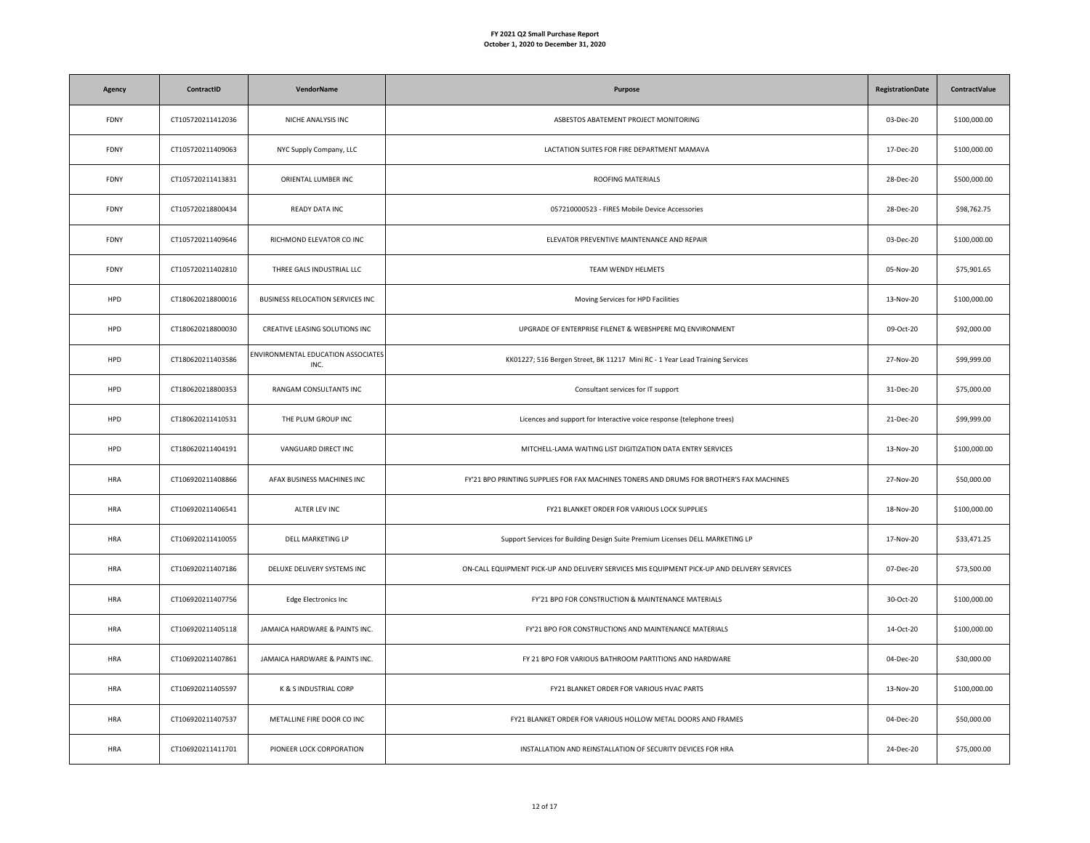| Agency      | ContractID        | VendorName                                 | Purpose                                                                                     | <b>RegistrationDate</b> | ContractValue |
|-------------|-------------------|--------------------------------------------|---------------------------------------------------------------------------------------------|-------------------------|---------------|
| <b>FDNY</b> | CT105720211412036 | NICHE ANALYSIS INC                         | ASBESTOS ABATEMENT PROJECT MONITORING                                                       | 03-Dec-20               | \$100,000.00  |
| <b>FDNY</b> | CT105720211409063 | NYC Supply Company, LLC                    | LACTATION SUITES FOR FIRE DEPARTMENT MAMAVA                                                 | 17-Dec-20               | \$100,000.00  |
| FDNY        | CT105720211413831 | ORIENTAL LUMBER INC                        | ROOFING MATERIALS                                                                           | 28-Dec-20               | \$500,000.00  |
| FDNY        | CT105720218800434 | READY DATA INC                             | 057210000523 - FIRES Mobile Device Accessories                                              | 28-Dec-20               | \$98,762.75   |
| FDNY        | CT105720211409646 | RICHMOND ELEVATOR CO INC                   | ELEVATOR PREVENTIVE MAINTENANCE AND REPAIR                                                  | 03-Dec-20               | \$100,000.00  |
| FDNY        | CT105720211402810 | THREE GALS INDUSTRIAL LLC                  | TEAM WENDY HELMETS                                                                          | 05-Nov-20               | \$75,901.65   |
| HPD         | CT180620218800016 | BUSINESS RELOCATION SERVICES INC           | Moving Services for HPD Facilities                                                          | 13-Nov-20               | \$100,000.00  |
| HPD         | CT180620218800030 | CREATIVE LEASING SOLUTIONS INC             | UPGRADE OF ENTERPRISE FILENET & WEBSHPERE MQ ENVIRONMENT                                    | 09-Oct-20               | \$92,000.00   |
| HPD         | CT180620211403586 | ENVIRONMENTAL EDUCATION ASSOCIATES<br>INC. | KK01227; 516 Bergen Street, BK 11217 Mini RC - 1 Year Lead Training Services                | 27-Nov-20               | \$99,999.00   |
| HPD         | CT180620218800353 | RANGAM CONSULTANTS INC                     | Consultant services for IT support                                                          | 31-Dec-20               | \$75,000.00   |
| HPD         | CT180620211410531 | THE PLUM GROUP INC                         | Licences and support for Interactive voice response (telephone trees)                       | 21-Dec-20               | \$99,999.00   |
| HPD         | CT180620211404191 | VANGUARD DIRECT INC                        | MITCHELL-LAMA WAITING LIST DIGITIZATION DATA ENTRY SERVICES                                 | 13-Nov-20               | \$100,000.00  |
| <b>HRA</b>  | CT106920211408866 | AFAX BUSINESS MACHINES INC                 | FY'21 BPO PRINTING SUPPLIES FOR FAX MACHINES TONERS AND DRUMS FOR BROTHER'S FAX MACHINES    | 27-Nov-20               | \$50,000.00   |
| HRA         | CT106920211406541 | ALTER LEV INC                              | FY21 BLANKET ORDER FOR VARIOUS LOCK SUPPLIES                                                | 18-Nov-20               | \$100,000.00  |
| <b>HRA</b>  | CT106920211410055 | DELL MARKETING LP                          | Support Services for Building Design Suite Premium Licenses DELL MARKETING LP               | 17-Nov-20               | \$33,471.25   |
| <b>HRA</b>  | CT106920211407186 | DELUXE DELIVERY SYSTEMS INC                | ON-CALL EQUIPMENT PICK-UP AND DELIVERY SERVICES MIS EQUIPMENT PICK-UP AND DELIVERY SERVICES | 07-Dec-20               | \$73,500.00   |
| <b>HRA</b>  | CT106920211407756 | Edge Electronics Inc                       | FY'21 BPO FOR CONSTRUCTION & MAINTENANCE MATERIALS                                          | 30-Oct-20               | \$100,000.00  |
| <b>HRA</b>  | CT106920211405118 | JAMAICA HARDWARE & PAINTS INC.             | FY'21 BPO FOR CONSTRUCTIONS AND MAINTENANCE MATERIALS                                       | 14-Oct-20               | \$100,000.00  |
| <b>HRA</b>  | CT106920211407861 | JAMAICA HARDWARE & PAINTS INC.             | FY 21 BPO FOR VARIOUS BATHROOM PARTITIONS AND HARDWARE                                      | 04-Dec-20               | \$30,000.00   |
| <b>HRA</b>  | CT106920211405597 | K & S INDUSTRIAL CORP                      | FY21 BLANKET ORDER FOR VARIOUS HVAC PARTS                                                   | 13-Nov-20               | \$100,000.00  |
| <b>HRA</b>  | CT106920211407537 | METALLINE FIRE DOOR CO INC                 | FY21 BLANKET ORDER FOR VARIOUS HOLLOW METAL DOORS AND FRAMES                                | 04-Dec-20               | \$50,000.00   |
| <b>HRA</b>  | CT106920211411701 | PIONEER LOCK CORPORATION                   | INSTALLATION AND REINSTALLATION OF SECURITY DEVICES FOR HRA                                 | 24-Dec-20               | \$75,000.00   |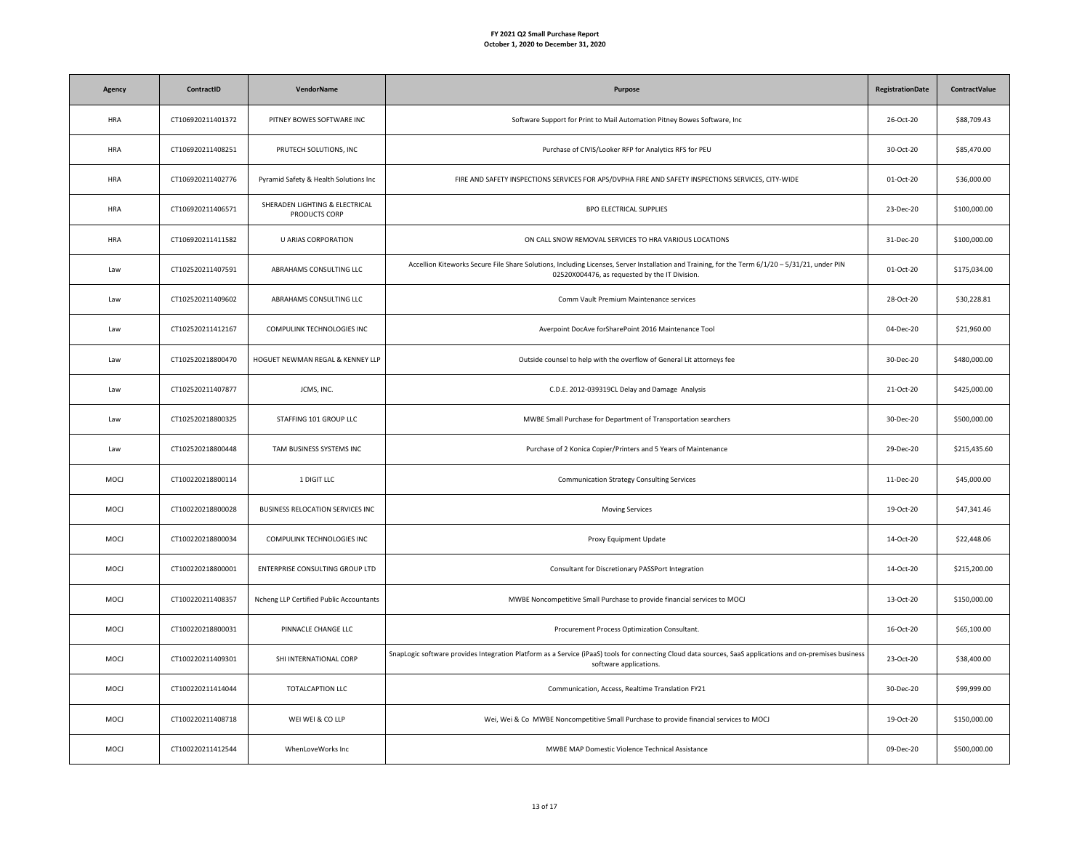| Agency     | ContractID        | <b>VendorName</b>                               | Purpose                                                                                                                                                                                           | <b>RegistrationDate</b> | <b>ContractValue</b> |
|------------|-------------------|-------------------------------------------------|---------------------------------------------------------------------------------------------------------------------------------------------------------------------------------------------------|-------------------------|----------------------|
| <b>HRA</b> | CT106920211401372 | PITNEY BOWES SOFTWARE INC                       | Software Support for Print to Mail Automation Pitney Bowes Software, Inc                                                                                                                          | 26-Oct-20               | \$88,709.43          |
| HRA        | CT106920211408251 | PRUTECH SOLUTIONS, INC                          | Purchase of CIVIS/Looker RFP for Analytics RFS for PEU                                                                                                                                            | 30-Oct-20               | \$85,470.00          |
| <b>HRA</b> | CT106920211402776 | Pyramid Safety & Health Solutions Inc           | FIRE AND SAFETY INSPECTIONS SERVICES FOR APS/DVPHA FIRE AND SAFETY INSPECTIONS SERVICES, CITY-WIDE                                                                                                | 01-Oct-20               | \$36,000.00          |
| <b>HRA</b> | CT106920211406571 | SHERADEN LIGHTING & ELECTRICAL<br>PRODUCTS CORP | BPO ELECTRICAL SUPPLIES                                                                                                                                                                           | 23-Dec-20               | \$100,000.00         |
| <b>HRA</b> | CT106920211411582 | <b>U ARIAS CORPORATION</b>                      | ON CALL SNOW REMOVAL SERVICES TO HRA VARIOUS LOCATIONS                                                                                                                                            | 31-Dec-20               | \$100,000.00         |
| Law        | CT102520211407591 | ABRAHAMS CONSULTING LLC                         | Accellion Kiteworks Secure File Share Solutions, Including Licenses, Server Installation and Training, for the Term 6/1/20 - 5/31/21, under PIN<br>02520X004476, as requested by the IT Division. | 01-Oct-20               | \$175,034.00         |
| Law        | CT102520211409602 | ABRAHAMS CONSULTING LLC                         | Comm Vault Premium Maintenance services                                                                                                                                                           | 28-Oct-20               | \$30,228.81          |
| Law        | CT102520211412167 | COMPULINK TECHNOLOGIES INC                      | Averpoint DocAve forSharePoint 2016 Maintenance Tool                                                                                                                                              | 04-Dec-20               | \$21,960.00          |
| Law        | CT102520218800470 | HOGUET NEWMAN REGAL & KENNEY LLP                | Outside counsel to help with the overflow of General Lit attorneys fee                                                                                                                            | 30-Dec-20               | \$480,000.00         |
| Law        | CT102520211407877 | JCMS, INC.                                      | C.D.E. 2012-039319CL Delay and Damage Analysis                                                                                                                                                    | 21-Oct-20               | \$425,000.00         |
| Law        | CT102520218800325 | STAFFING 101 GROUP LLC                          | MWBE Small Purchase for Department of Transportation searchers                                                                                                                                    | 30-Dec-20               | \$500,000.00         |
| Law        | CT102520218800448 | TAM BUSINESS SYSTEMS INC                        | Purchase of 2 Konica Copier/Printers and 5 Years of Maintenance                                                                                                                                   | 29-Dec-20               | \$215,435.60         |
| MOCJ       | CT100220218800114 | 1 DIGIT LLC                                     | Communication Strategy Consulting Services                                                                                                                                                        | 11-Dec-20               | \$45,000.00          |
| MOCJ       | CT100220218800028 | BUSINESS RELOCATION SERVICES INC                | <b>Moving Services</b>                                                                                                                                                                            | 19-Oct-20               | \$47,341.46          |
| MOCJ       | CT100220218800034 | COMPULINK TECHNOLOGIES INC                      | Proxy Equipment Update                                                                                                                                                                            | 14-Oct-20               | \$22,448.06          |
| MOCJ       | CT100220218800001 | ENTERPRISE CONSULTING GROUP LTD                 | Consultant for Discretionary PASSPort Integration                                                                                                                                                 | 14-Oct-20               | \$215,200.00         |
| MOCJ       | CT100220211408357 | Ncheng LLP Certified Public Accountants         | MWBE Noncompetitive Small Purchase to provide financial services to MOCJ                                                                                                                          | 13-Oct-20               | \$150,000.00         |
| MOCJ       | CT100220218800031 | PINNACLE CHANGE LLC                             | Procurement Process Optimization Consultant.                                                                                                                                                      | 16-Oct-20               | \$65,100.00          |
| MOCJ       | CT100220211409301 | SHI INTERNATIONAL CORP                          | SnapLogic software provides Integration Platform as a Service (iPaaS) tools for connecting Cloud data sources, SaaS applications and on-premises business<br>software applications.               | 23-Oct-20               | \$38,400.00          |
| MOCJ       | CT100220211414044 | TOTALCAPTION LLC                                | Communication, Access, Realtime Translation FY21                                                                                                                                                  | 30-Dec-20               | \$99,999.00          |
| MOCJ       | CT100220211408718 | WEI WEI & CO LLP                                | Wei, Wei & Co MWBE Noncompetitive Small Purchase to provide financial services to MOCJ                                                                                                            | 19-Oct-20               | \$150,000.00         |
| MOCJ       | CT100220211412544 | WhenLoveWorks Inc                               | MWBE MAP Domestic Violence Technical Assistance                                                                                                                                                   | 09-Dec-20               | \$500,000.00         |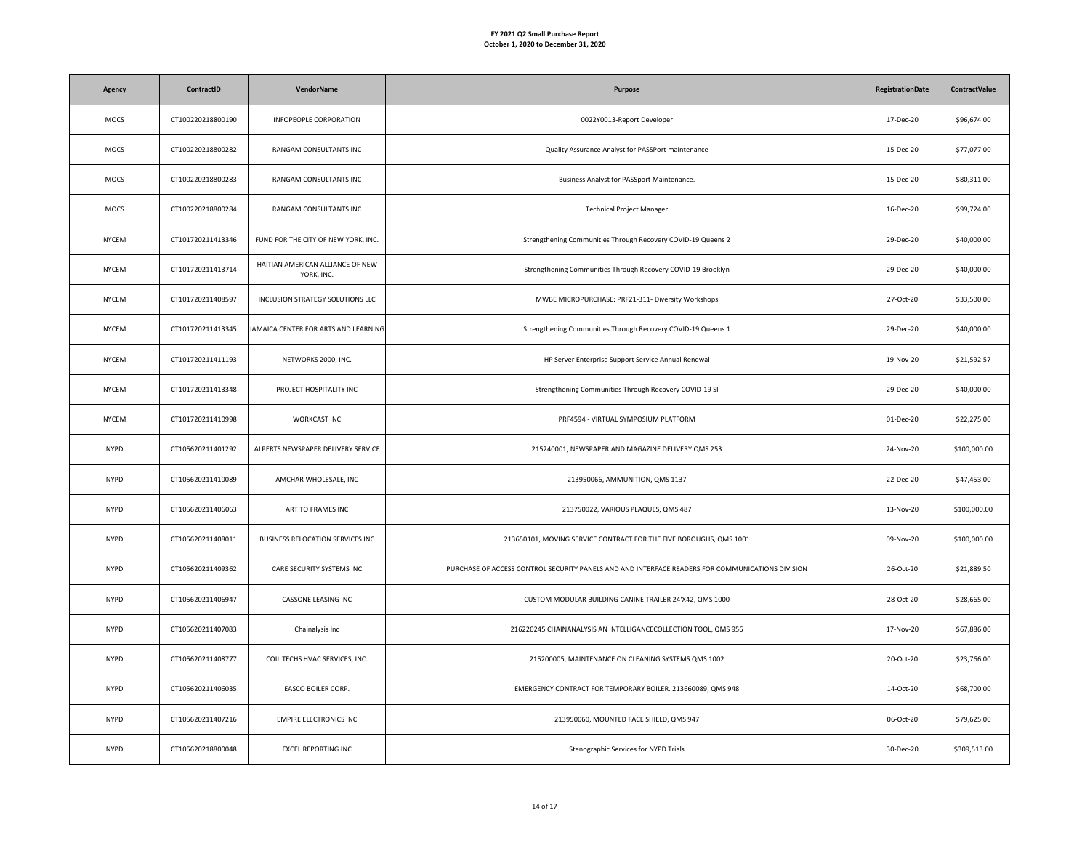| Agency       | ContractID        | <b>VendorName</b>                              | Purpose                                                                                          | <b>RegistrationDate</b> | ContractValue |
|--------------|-------------------|------------------------------------------------|--------------------------------------------------------------------------------------------------|-------------------------|---------------|
| MOCS         | CT100220218800190 | INFOPEOPLE CORPORATION                         | 0022Y0013-Report Developer                                                                       | 17-Dec-20               | \$96,674.00   |
| MOCS         | CT100220218800282 | RANGAM CONSULTANTS INC                         | Quality Assurance Analyst for PASSPort maintenance                                               | 15-Dec-20               | \$77,077.00   |
| MOCS         | CT100220218800283 | RANGAM CONSULTANTS INC                         | Business Analyst for PASSport Maintenance.                                                       | 15-Dec-20               | \$80,311.00   |
| MOCS         | CT100220218800284 | RANGAM CONSULTANTS INC                         | <b>Technical Project Manager</b>                                                                 | $16$ -Dec-20            | \$99,724.00   |
| <b>NYCEM</b> | CT101720211413346 | FUND FOR THE CITY OF NEW YORK, INC.            | Strengthening Communities Through Recovery COVID-19 Queens 2                                     | 29-Dec-20               | \$40,000.00   |
| <b>NYCEM</b> | CT101720211413714 | HAITIAN AMERICAN ALLIANCE OF NEW<br>YORK, INC. | Strengthening Communities Through Recovery COVID-19 Brooklyn                                     | 29-Dec-20               | \$40,000.00   |
| <b>NYCEM</b> | CT101720211408597 | INCLUSION STRATEGY SOLUTIONS LLC               | MWBE MICROPURCHASE: PRF21-311- Diversity Workshops                                               | 27-Oct-20               | \$33,500.00   |
| <b>NYCEM</b> | CT101720211413345 | JAMAICA CENTER FOR ARTS AND LEARNING           | Strengthening Communities Through Recovery COVID-19 Queens 1                                     | 29-Dec-20               | \$40,000.00   |
| <b>NYCEM</b> | CT101720211411193 | NETWORKS 2000, INC.                            | HP Server Enterprise Support Service Annual Renewal                                              | 19-Nov-20               | \$21,592.57   |
| <b>NYCEM</b> | CT101720211413348 | PROJECT HOSPITALITY INC                        | Strengthening Communities Through Recovery COVID-19 SI                                           | 29-Dec-20               | \$40,000.00   |
| <b>NYCEM</b> | CT101720211410998 | <b>WORKCAST INC</b>                            | PRF4594 - VIRTUAL SYMPOSIUM PLATFORM                                                             | 01-Dec-20               | \$22,275.00   |
| <b>NYPD</b>  | CT105620211401292 | ALPERTS NEWSPAPER DELIVERY SERVICE             | 215240001, NEWSPAPER AND MAGAZINE DELIVERY QMS 253                                               | 24-Nov-20               | \$100,000.00  |
| <b>NYPD</b>  | CT105620211410089 | AMCHAR WHOLESALE, INC                          | 213950066, AMMUNITION, QMS 1137                                                                  | 22-Dec-20               | \$47,453.00   |
| <b>NYPD</b>  | CT105620211406063 | ART TO FRAMES INC                              | 213750022, VARIOUS PLAQUES, QMS 487                                                              | 13-Nov-20               | \$100,000.00  |
| <b>NYPD</b>  | CT105620211408011 | BUSINESS RELOCATION SERVICES INC               | 213650101, MOVING SERVICE CONTRACT FOR THE FIVE BOROUGHS, QMS 1001                               | 09-Nov-20               | \$100,000.00  |
| <b>NYPD</b>  | CT105620211409362 | CARE SECURITY SYSTEMS INC                      | PURCHASE OF ACCESS CONTROL SECURITY PANELS AND AND INTERFACE READERS FOR COMMUNICATIONS DIVISION | 26-Oct-20               | \$21,889.50   |
| <b>NYPD</b>  | CT105620211406947 | CASSONE LEASING INC                            | CUSTOM MODULAR BUILDING CANINE TRAILER 24'X42, QMS 1000                                          | 28-Oct-20               | \$28,665.00   |
| <b>NYPD</b>  | CT105620211407083 | Chainalysis Inc                                | 216220245 CHAINANALYSIS AN INTELLIGANCECOLLECTION TOOL, QMS 956                                  | 17-Nov-20               | \$67,886.00   |
| <b>NYPD</b>  | CT105620211408777 | COIL TECHS HVAC SERVICES, INC.                 | 215200005, MAINTENANCE ON CLEANING SYSTEMS QMS 1002                                              | 20-Oct-20               | \$23,766.00   |
| <b>NYPD</b>  | CT105620211406035 | EASCO BOILER CORP.                             | EMERGENCY CONTRACT FOR TEMPORARY BOILER. 213660089, QMS 948                                      | 14-Oct-20               | \$68,700.00   |
| <b>NYPD</b>  | CT105620211407216 | <b>EMPIRE ELECTRONICS INC</b>                  | 213950060, MOUNTED FACE SHIELD, QMS 947                                                          | 06-Oct-20               | \$79,625.00   |
| <b>NYPD</b>  | CT105620218800048 | <b>EXCEL REPORTING INC</b>                     | Stenographic Services for NYPD Trials                                                            | 30-Dec-20               | \$309,513.00  |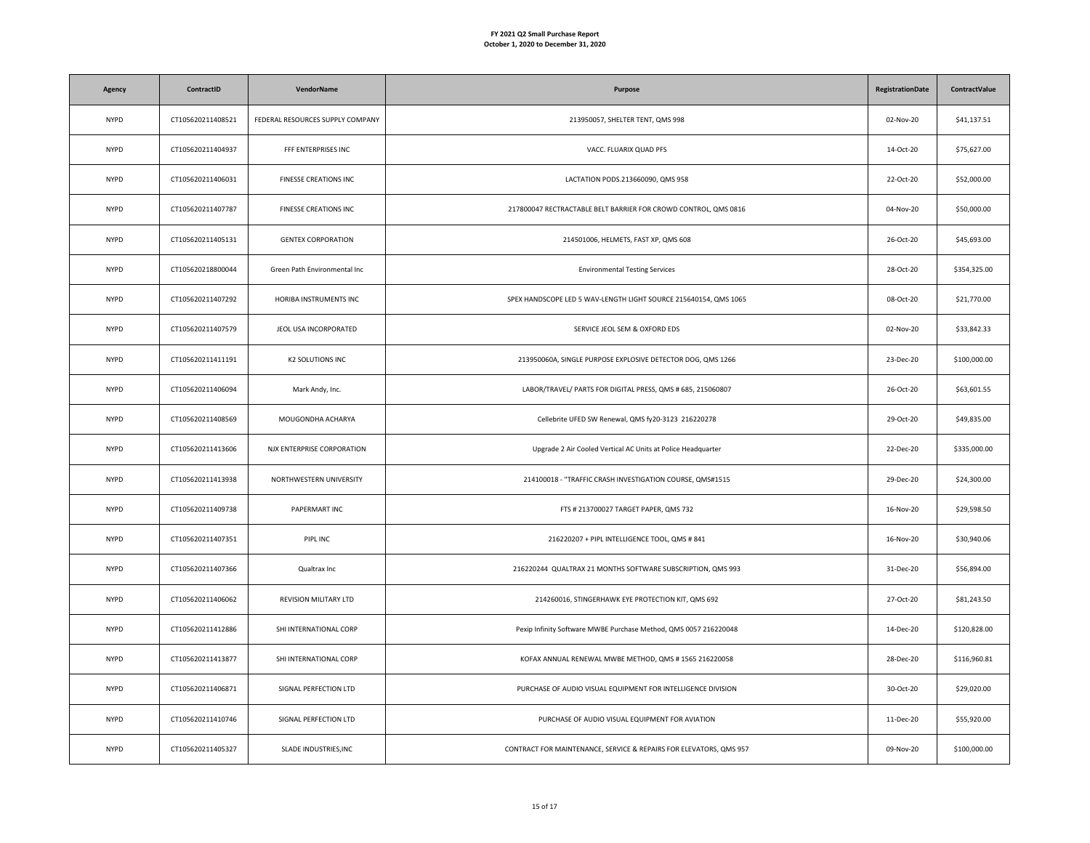| Agency      | ContractID        | VendorName                       | Purpose                                                            | <b>RegistrationDate</b> | <b>ContractValue</b> |
|-------------|-------------------|----------------------------------|--------------------------------------------------------------------|-------------------------|----------------------|
| <b>NYPD</b> | CT105620211408521 | FEDERAL RESOURCES SUPPLY COMPANY | 213950057, SHELTER TENT, QMS 998                                   | 02-Nov-20               | \$41,137.51          |
| <b>NYPD</b> | CT105620211404937 | FFF ENTERPRISES INC              | VACC. FLUARIX QUAD PFS                                             | 14-Oct-20               | \$75,627.00          |
| <b>NYPD</b> | CT105620211406031 | FINESSE CREATIONS INC            | LACTATION PODS.213660090, QMS 958                                  | 22-Oct-20               | \$52,000.00          |
| <b>NYPD</b> | CT105620211407787 | FINESSE CREATIONS INC            | 217800047 RECTRACTABLE BELT BARRIER FOR CROWD CONTROL, QMS 0816    | 04-Nov-20               | \$50,000.00          |
| <b>NYPD</b> | CT105620211405131 | <b>GENTEX CORPORATION</b>        | 214501006, HELMETS, FAST XP, QMS 608                               | 26-Oct-20               | \$45,693.00          |
| <b>NYPD</b> | CT105620218800044 | Green Path Environmental Inc     | <b>Environmental Testing Services</b>                              | 28-Oct-20               | \$354,325.00         |
| <b>NYPD</b> | CT105620211407292 | HORIBA INSTRUMENTS INC           | SPEX HANDSCOPE LED 5 WAV-LENGTH LIGHT SOURCE 215640154, QMS 1065   | 08-Oct-20               | \$21,770.00          |
| <b>NYPD</b> | CT105620211407579 | JEOL USA INCORPORATED            | SERVICE JEOL SEM & OXFORD EDS                                      | 02-Nov-20               | \$33,842.33          |
| <b>NYPD</b> | CT105620211411191 | K2 SOLUTIONS INC                 | 213950060A, SINGLE PURPOSE EXPLOSIVE DETECTOR DOG, QMS 1266        | 23-Dec-20               | \$100,000.00         |
| <b>NYPD</b> | CT105620211406094 | Mark Andy, Inc.                  | LABOR/TRAVEL/ PARTS FOR DIGITAL PRESS, QMS # 685, 215060807        | 26-Oct-20               | \$63,601.55          |
| <b>NYPD</b> | CT105620211408569 | MOUGONDHA ACHARYA                | Cellebrite UFED SW Renewal, QMS fy20-3123 216220278                | 29-Oct-20               | \$49,835.00          |
| <b>NYPD</b> | CT105620211413606 | NJX ENTERPRISE CORPORATION       | Upgrade 2 Air Cooled Vertical AC Units at Police Headquarter       | 22-Dec-20               | \$335,000.00         |
| <b>NYPD</b> | CT105620211413938 | NORTHWESTERN UNIVERSITY          | 214100018 - "TRAFFIC CRASH INVESTIGATION COURSE, QMS#1515          | 29-Dec-20               | \$24,300.00          |
| <b>NYPD</b> | CT105620211409738 | PAPERMART INC                    | FTS # 213700027 TARGET PAPER, QMS 732                              | 16-Nov-20               | \$29,598.50          |
| <b>NYPD</b> | CT105620211407351 | PIPL INC                         | 216220207 + PIPL INTELLIGENCE TOOL, QMS # 841                      | 16-Nov-20               | \$30,940.06          |
| <b>NYPD</b> | CT105620211407366 | Qualtrax Inc                     | 216220244 QUALTRAX 21 MONTHS SOFTWARE SUBSCRIPTION, QMS 993        | 31-Dec-20               | \$56,894.00          |
| <b>NYPD</b> | CT105620211406062 | REVISION MILITARY LTD            | 214260016, STINGERHAWK EYE PROTECTION KIT, QMS 692                 | 27-Oct-20               | \$81,243.50          |
| <b>NYPD</b> | CT105620211412886 | SHI INTERNATIONAL CORP           | Pexip Infinity Software MWBE Purchase Method, QMS 0057 216220048   | 14-Dec-20               | \$120,828.00         |
| <b>NYPD</b> | CT105620211413877 | SHI INTERNATIONAL CORP           | KOFAX ANNUAL RENEWAL MWBE METHOD, QMS # 1565 216220058             | 28-Dec-20               | \$116,960.81         |
| <b>NYPD</b> | CT105620211406871 | SIGNAL PERFECTION LTD            | PURCHASE OF AUDIO VISUAL EQUIPMENT FOR INTELLIGENCE DIVISION       | 30-Oct-20               | \$29,020.00          |
| <b>NYPD</b> | CT105620211410746 | SIGNAL PERFECTION LTD            | PURCHASE OF AUDIO VISUAL EQUIPMENT FOR AVIATION                    | 11-Dec-20               | \$55,920.00          |
| <b>NYPD</b> | CT105620211405327 | SLADE INDUSTRIES, INC            | CONTRACT FOR MAINTENANCE, SERVICE & REPAIRS FOR ELEVATORS, QMS 957 | 09-Nov-20               | \$100,000.00         |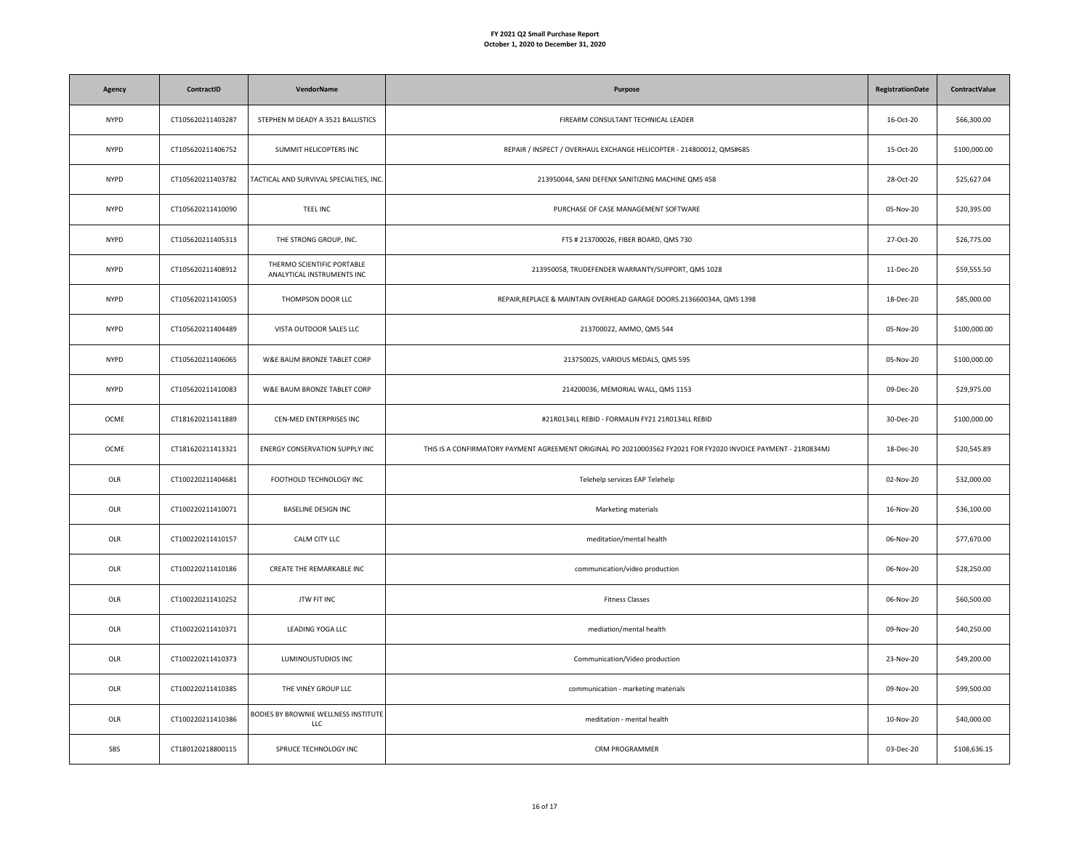| Agency      | ContractID        | VendorName                                               | Purpose                                                                                                        | <b>RegistrationDate</b> | <b>ContractValue</b> |
|-------------|-------------------|----------------------------------------------------------|----------------------------------------------------------------------------------------------------------------|-------------------------|----------------------|
| <b>NYPD</b> | CT105620211403287 | STEPHEN M DEADY A 3521 BALLISTICS                        | FIREARM CONSULTANT TECHNICAL LEADER                                                                            | 16-Oct-20               | \$66,300.00          |
| <b>NYPD</b> | CT105620211406752 | SUMMIT HELICOPTERS INC                                   | REPAIR / INSPECT / OVERHAUL EXCHANGE HELICOPTER - 214800012, QMS#685                                           | 15-Oct-20               | \$100,000.00         |
| <b>NYPD</b> | CT105620211403782 | TACTICAL AND SURVIVAL SPECIALTIES, INC.                  | 213950044, SANI DEFENX SANITIZING MACHINE QMS 458                                                              | 28-Oct-20               | \$25,627.04          |
| <b>NYPD</b> | CT105620211410090 | <b>TEEL INC</b>                                          | PURCHASE OF CASE MANAGEMENT SOFTWARE                                                                           | 05-Nov-20               | \$20,395.00          |
| <b>NYPD</b> | CT105620211405313 | THE STRONG GROUP, INC.                                   | FTS # 213700026, FIBER BOARD, QMS 730                                                                          | 27-Oct-20               | \$26,775.00          |
| <b>NYPD</b> | CT105620211408912 | THERMO SCIENTIFIC PORTABLE<br>ANALYTICAL INSTRUMENTS INC | 213950058, TRUDEFENDER WARRANTY/SUPPORT, QMS 1028                                                              | 11-Dec-20               | \$59,555.50          |
| <b>NYPD</b> | CT105620211410053 | THOMPSON DOOR LLC                                        | REPAIR, REPLACE & MAINTAIN OVERHEAD GARAGE DOORS.213660034A, QMS 1398                                          | 18-Dec-20               | \$85,000.00          |
| <b>NYPD</b> | CT105620211404489 | VISTA OUTDOOR SALES LLC                                  | 213700022, AMMO, QMS 544                                                                                       | 05-Nov-20               | \$100,000.00         |
| <b>NYPD</b> | CT105620211406065 | W&E BAUM BRONZE TABLET CORP                              | 213750025, VARIOUS MEDALS, QMS 595                                                                             | 05-Nov-20               | \$100,000.00         |
| <b>NYPD</b> | CT105620211410083 | W&E BAUM BRONZE TABLET CORP                              | 214200036, MEMORIAL WALL, QMS 1153                                                                             | 09-Dec-20               | \$29,975.00          |
| OCME        | CT181620211411889 | CEN-MED ENTERPRISES INC                                  | #21R0134LL REBID - FORMALIN FY21 21R0134LL REBID                                                               | 30-Dec-20               | \$100,000.00         |
| OCME        | CT181620211413321 | ENERGY CONSERVATION SUPPLY INC                           | THIS IS A CONFIRMATORY PAYMENT AGREEMENT ORIGINAL PO 20210003562 FY2021 FOR FY2020 INVOICE PAYMENT - 21R0834MJ | 18-Dec-20               | \$20,545.89          |
| OLR         | CT100220211404681 | FOOTHOLD TECHNOLOGY INC                                  | Telehelp services EAP Telehelp                                                                                 | 02-Nov-20               | \$32,000.00          |
| OLR         | CT100220211410071 | BASELINE DESIGN INC                                      | Marketing materials                                                                                            | 16-Nov-20               | \$36,100.00          |
| OLR         | CT100220211410157 | CALM CITY LLC                                            | meditation/mental health                                                                                       | 06-Nov-20               | \$77,670.00          |
| OLR         | CT100220211410186 | CREATE THE REMARKABLE INC                                | communication/video production                                                                                 | 06-Nov-20               | \$28,250.00          |
| OLR         | CT100220211410252 | JTW FIT INC                                              | <b>Fitness Classes</b>                                                                                         | 06-Nov-20               | \$60,500.00          |
| OLR         | CT100220211410371 | LEADING YOGA LLC                                         | mediation/mental health                                                                                        | 09-Nov-20               | \$40,250.00          |
| OLR         | CT100220211410373 | LUMINOUSTUDIOS INC                                       | Communication/Video production                                                                                 | 23-Nov-20               | \$49,200.00          |
| OLR         | CT100220211410385 | THE VINEY GROUP LLC                                      | communication - marketing materials                                                                            | 09-Nov-20               | \$99,500.00          |
| OLR         | CT100220211410386 | BODIES BY BROWNIE WELLNESS INSTITUTE<br><b>LLC</b>       | meditation - mental health                                                                                     | 10-Nov-20               | \$40,000.00          |
| SBS         | CT180120218800115 | SPRUCE TECHNOLOGY INC                                    | <b>CRM PROGRAMMER</b>                                                                                          | 03-Dec-20               | \$108,636.15         |